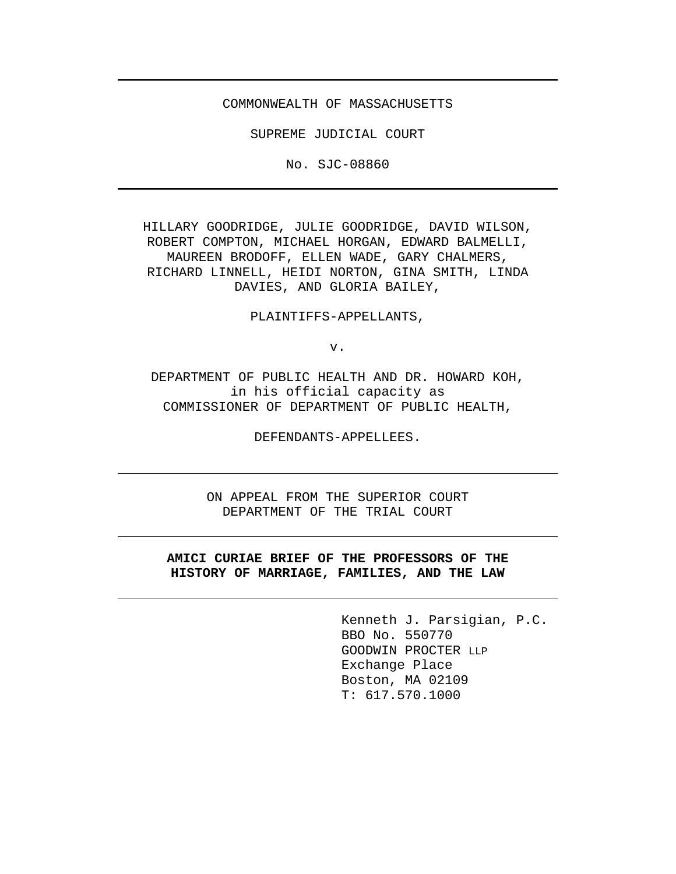#### COMMONWEALTH OF MASSACHUSETTS

SUPREME JUDICIAL COURT

No. SJC-08860

HILLARY GOODRIDGE, JULIE GOODRIDGE, DAVID WILSON, ROBERT COMPTON, MICHAEL HORGAN, EDWARD BALMELLI, MAUREEN BRODOFF, ELLEN WADE, GARY CHALMERS, RICHARD LINNELL, HEIDI NORTON, GINA SMITH, LINDA DAVIES, AND GLORIA BAILEY,

PLAINTIFFS-APPELLANTS,

v.

DEPARTMENT OF PUBLIC HEALTH AND DR. HOWARD KOH, in his official capacity as COMMISSIONER OF DEPARTMENT OF PUBLIC HEALTH,

DEFENDANTS-APPELLEES.

ON APPEAL FROM THE SUPERIOR COURT DEPARTMENT OF THE TRIAL COURT

## **AMICI CURIAE BRIEF OF THE PROFESSORS OF THE HISTORY OF MARRIAGE, FAMILIES, AND THE LAW**

Kenneth J. Parsigian, P.C. BBO No. 550770 GOODWIN PROCTER LLP Exchange Place Boston, MA 02109 T: 617.570.1000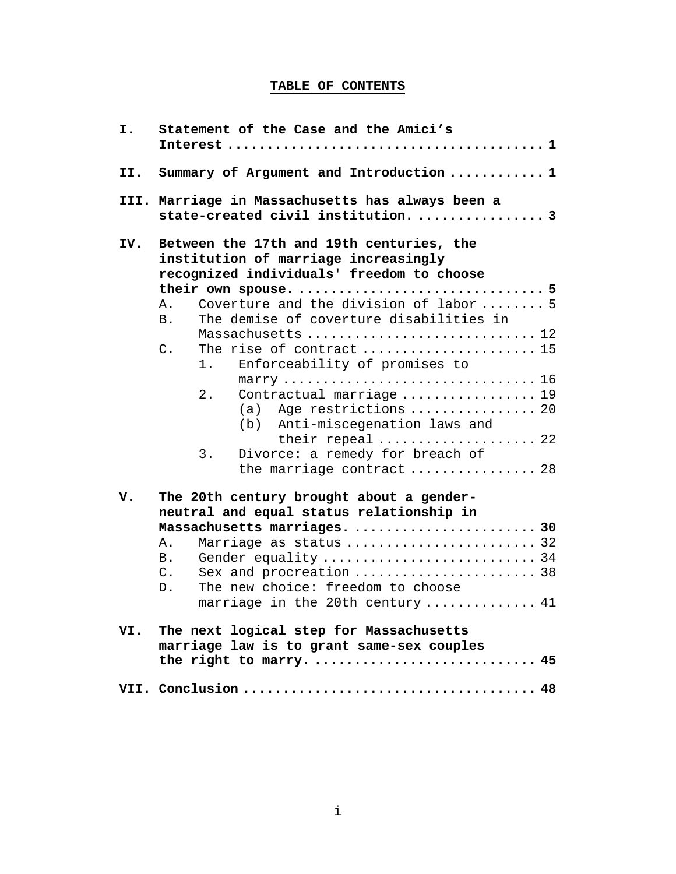# **TABLE OF CONTENTS**

| I.  | Statement of the Case and the Amici's                                                                                         |
|-----|-------------------------------------------------------------------------------------------------------------------------------|
| II. | Summary of Argument and Introduction  1                                                                                       |
|     | III. Marriage in Massachusetts has always been a<br>state-created civil institution.  3                                       |
| IV. | Between the 17th and 19th centuries, the<br>institution of marriage increasingly<br>recognized individuals' freedom to choose |
|     |                                                                                                                               |
|     | Coverture and the division of labor  5<br>Α.<br>The demise of coverture disabilities in<br>B.                                 |
|     | Massachusetts  12<br>The rise of contract  15<br>$C$ .                                                                        |
|     | Enforceability of promises to<br>1.                                                                                           |
|     | 2.<br>Contractual marriage  19<br>(a) Age restrictions  20<br>(b) Anti-miscegenation laws and                                 |
|     | their repeal  22<br>3.<br>Divorce: a remedy for breach of                                                                     |
|     | the marriage contract  28                                                                                                     |
| v.  | The 20th century brought about a gender-<br>neutral and equal status relationship in                                          |
|     | Massachusetts marriages.  30                                                                                                  |
|     | Marriage as status  32<br>Ά.                                                                                                  |
|     | В.                                                                                                                            |
|     | Sex and procreation  38<br>$\mathsf{C}$ .                                                                                     |
|     | The new choice: freedom to choose<br>D.                                                                                       |
|     | marriage in the 20th century  41                                                                                              |
|     | VI. The next logical step for Massachusetts<br>marriage law is to grant same-sex couples                                      |
|     | the right to marry.  45                                                                                                       |
|     |                                                                                                                               |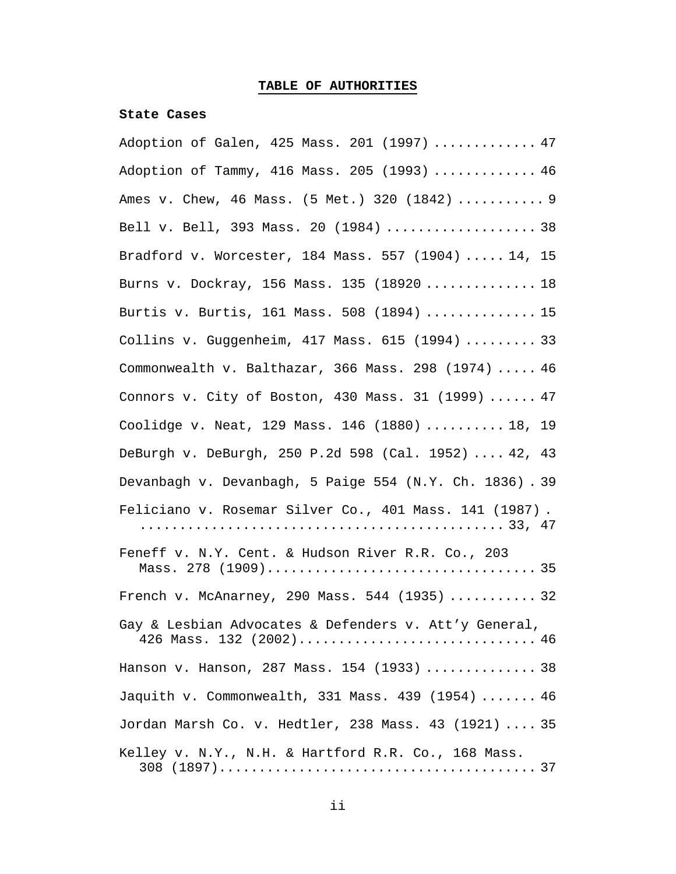# **TABLE OF AUTHORITIES**

## **State Cases**

| Adoption of Galen, 425 Mass. 201 (1997)  47                                      |
|----------------------------------------------------------------------------------|
| Adoption of Tammy, 416 Mass. 205 (1993)  46                                      |
| Ames v. Chew, 46 Mass. (5 Met.) 320 (1842)  9                                    |
| Bell v. Bell, 393 Mass. 20 (1984)  38                                            |
| Bradford v. Worcester, 184 Mass. 557 (1904)  14, 15                              |
| Burns v. Dockray, 156 Mass. 135 (18920  18                                       |
| Burtis v. Burtis, 161 Mass. 508 (1894)  15                                       |
| Collins v. Guggenheim, 417 Mass. 615 (1994)  33                                  |
| Commonwealth v. Balthazar, 366 Mass. 298 (1974)  46                              |
| Connors v. City of Boston, 430 Mass. 31 (1999)  47                               |
| Coolidge v. Neat, 129 Mass. 146 (1880)  18, 19                                   |
| DeBurgh v. DeBurgh, 250 P.2d 598 (Cal. 1952)  42, 43                             |
| Devanbagh v. Devanbagh, 5 Paige 554 (N.Y. Ch. 1836). 39                          |
| Feliciano v. Rosemar Silver Co., 401 Mass. 141 (1987).                           |
| Feneff v. N.Y. Cent. & Hudson River R.R. Co., 203                                |
| French v. McAnarney, 290 Mass. 544 (1935)  32                                    |
| Gay & Lesbian Advocates & Defenders v. Att'y General,<br>426 Mass. 132 (2002) 46 |
| Hanson v. Hanson, 287 Mass. 154 (1933)  38                                       |
| Jaquith v. Commonwealth, 331 Mass. 439 (1954)  46                                |
| Jordan Marsh Co. v. Hedtler, 238 Mass. 43 (1921)  35                             |
| Kelley v. N.Y., N.H. & Hartford R.R. Co., 168 Mass.                              |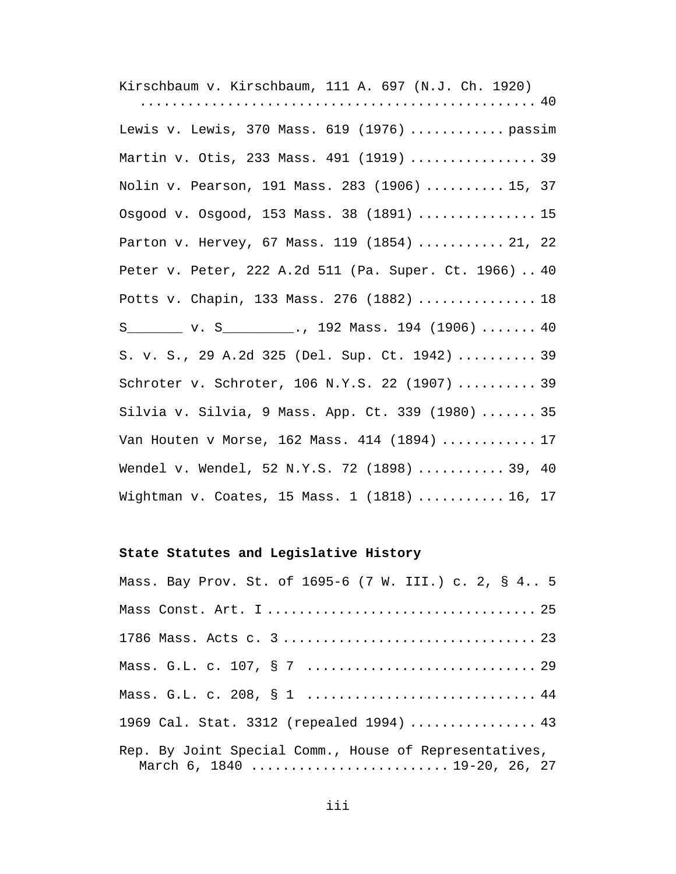Kirschbaum v. Kirschbaum, 111 A. 697 (N.J. Ch. 1920) .................................................. 40 Lewis v. Lewis, 370 Mass. 619 (1976) ............ passim Martin v. Otis, 233 Mass. 491 (1919) ................ 39 Nolin v. Pearson, 191 Mass. 283 (1906) .......... 15, 37 Osgood v. Osgood, 153 Mass. 38 (1891) ............... 15 Parton v. Hervey, 67 Mass. 119 (1854) ........... 21, 22 Peter v. Peter, 222 A.2d 511 (Pa. Super. Ct. 1966) .. 40 Potts v. Chapin, 133 Mass. 276 (1882) ............... 18 S\_\_\_\_\_\_\_\_ v. S\_\_\_\_\_\_\_\_\_\_., 192 Mass. 194 (1906) ....... 40 S. v. S., 29 A.2d 325 (Del. Sup. Ct. 1942) .......... 39 Schroter v. Schroter, 106 N.Y.S. 22 (1907) .......... 39 Silvia v. Silvia, 9 Mass. App. Ct. 339 (1980) ....... 35 Van Houten v Morse, 162 Mass. 414 (1894) ............ 17 Wendel v. Wendel, 52 N.Y.S. 72 (1898) ........... 39, 40 Wightman v. Coates, 15 Mass. 1 (1818) ........... 16, 17

### **State Statutes and Legislative History**

| Mass. Bay Prov. St. of 1695-6 (7 W. III.) c. 2, § 4 5                                  |
|----------------------------------------------------------------------------------------|
|                                                                                        |
|                                                                                        |
|                                                                                        |
| Mass. G.L. c. 208, § 1  44                                                             |
| 1969 Cal. Stat. 3312 (repealed 1994)  43                                               |
| Rep. By Joint Special Comm., House of Representatives,<br>March 6, 1840  19-20, 26, 27 |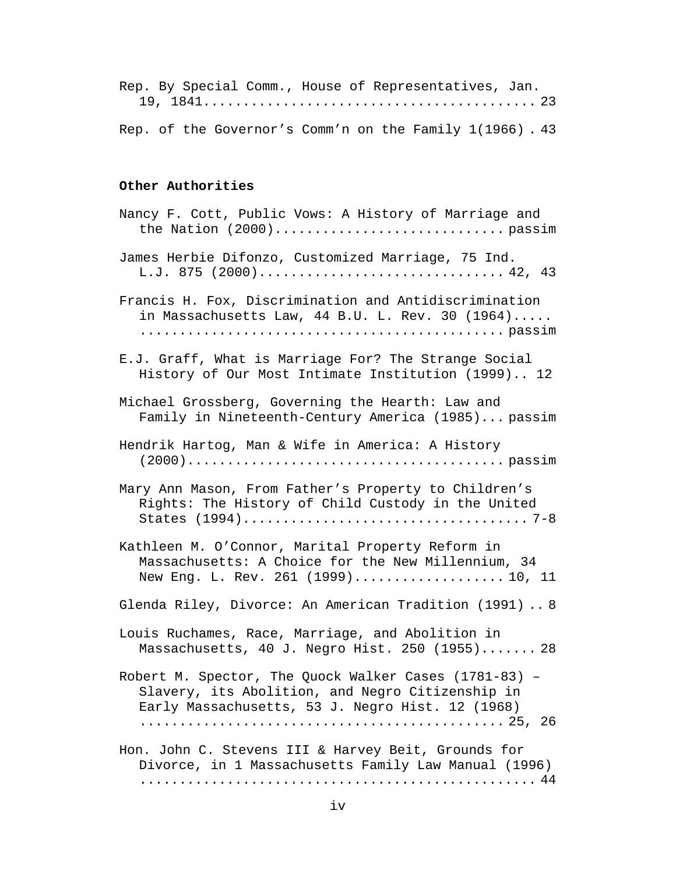Rep. By Special Comm., House of Representatives, Jan. 19, 1841.......................................... 23

Rep. of the Governor's Comm'n on the Family 1(1966) . 43

## **Other Authorities**

| Nancy F. Cott, Public Vows: A History of Marriage and                                                                                                         |  |
|---------------------------------------------------------------------------------------------------------------------------------------------------------------|--|
| James Herbie Difonzo, Customized Marriage, 75 Ind.<br>L.J. 875 (2000) 42, 43                                                                                  |  |
| Francis H. Fox, Discrimination and Antidiscrimination<br>in Massachusetts Law, $44$ B.U. L. Rev. 30 $(1964)$                                                  |  |
| E.J. Graff, What is Marriage For? The Strange Social<br>History of Our Most Intimate Institution (1999) 12                                                    |  |
| Michael Grossberg, Governing the Hearth: Law and<br>Family in Nineteenth-Century America (1985) passim                                                        |  |
| Hendrik Hartog, Man & Wife in America: A History                                                                                                              |  |
| Mary Ann Mason, From Father's Property to Children's<br>Rights: The History of Child Custody in the United                                                    |  |
| Kathleen M. O'Connor, Marital Property Reform in<br>Massachusetts: A Choice for the New Millennium, 34<br>New Eng. L. Rev. 261 (1999)10, 11                   |  |
| Glenda Riley, Divorce: An American Tradition (1991)  8                                                                                                        |  |
| Louis Ruchames, Race, Marriage, and Abolition in<br>Massachusetts, 40 J. Negro Hist. 250 (1955) 28                                                            |  |
| Robert M. Spector, The Quock Walker Cases (1781-83) -<br>Slavery, its Abolition, and Negro Citizenship in<br>Early Massachusetts, 53 J. Negro Hist. 12 (1968) |  |
| Hon. John C. Stevens III & Harvey Beit, Grounds for<br>Divorce, in 1 Massachusetts Family Law Manual (1996)                                                   |  |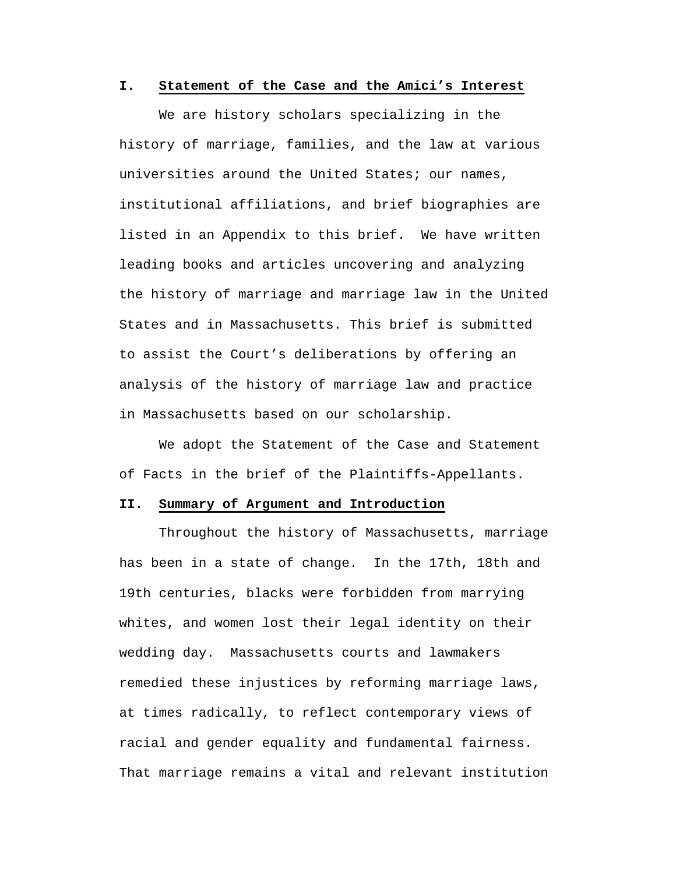### **I. Statement of the Case and the Amici's Interest**

We are history scholars specializing in the history of marriage, families, and the law at various universities around the United States; our names, institutional affiliations, and brief biographies are listed in an Appendix to this brief. We have written leading books and articles uncovering and analyzing the history of marriage and marriage law in the United States and in Massachusetts. This brief is submitted to assist the Court's deliberations by offering an analysis of the history of marriage law and practice in Massachusetts based on our scholarship.

We adopt the Statement of the Case and Statement of Facts in the brief of the Plaintiffs-Appellants.

#### **II. Summary of Argument and Introduction**

Throughout the history of Massachusetts, marriage has been in a state of change. In the 17th, 18th and 19th centuries, blacks were forbidden from marrying whites, and women lost their legal identity on their wedding day. Massachusetts courts and lawmakers remedied these injustices by reforming marriage laws, at times radically, to reflect contemporary views of racial and gender equality and fundamental fairness. That marriage remains a vital and relevant institution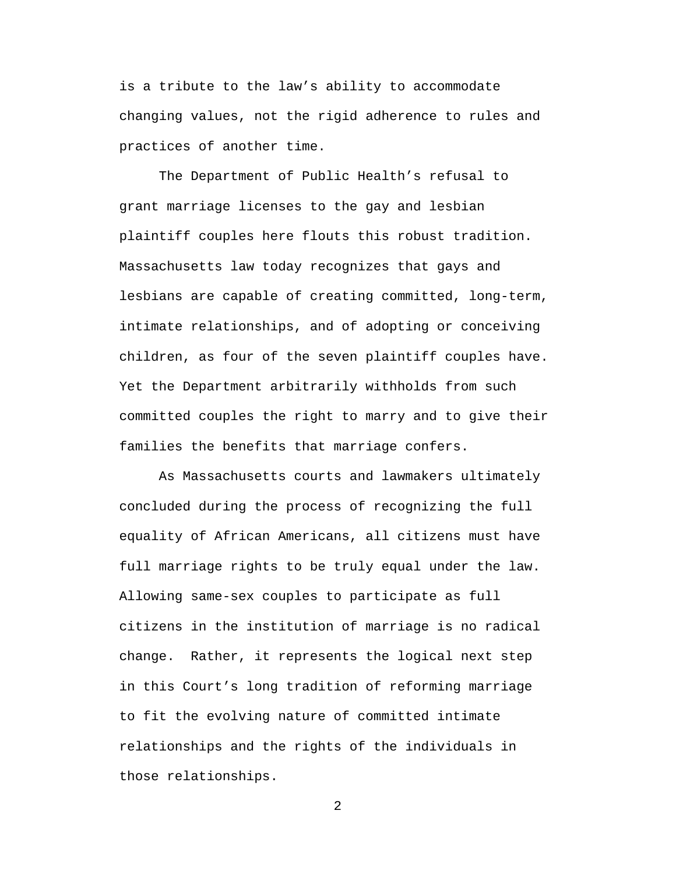is a tribute to the law's ability to accommodate changing values, not the rigid adherence to rules and practices of another time.

The Department of Public Health's refusal to grant marriage licenses to the gay and lesbian plaintiff couples here flouts this robust tradition. Massachusetts law today recognizes that gays and lesbians are capable of creating committed, long-term, intimate relationships, and of adopting or conceiving children, as four of the seven plaintiff couples have. Yet the Department arbitrarily withholds from such committed couples the right to marry and to give their families the benefits that marriage confers.

As Massachusetts courts and lawmakers ultimately concluded during the process of recognizing the full equality of African Americans, all citizens must have full marriage rights to be truly equal under the law. Allowing same-sex couples to participate as full citizens in the institution of marriage is no radical change. Rather, it represents the logical next step in this Court's long tradition of reforming marriage to fit the evolving nature of committed intimate relationships and the rights of the individuals in those relationships.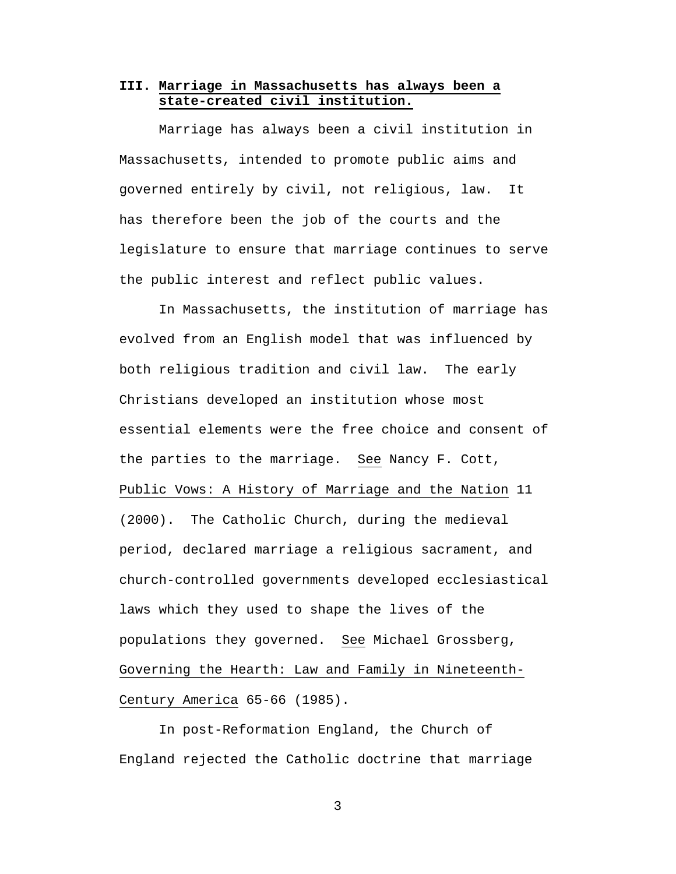## **III. Marriage in Massachusetts has always been a state-created civil institution.**

Marriage has always been a civil institution in Massachusetts, intended to promote public aims and governed entirely by civil, not religious, law. It has therefore been the job of the courts and the legislature to ensure that marriage continues to serve the public interest and reflect public values.

In Massachusetts, the institution of marriage has evolved from an English model that was influenced by both religious tradition and civil law. The early Christians developed an institution whose most essential elements were the free choice and consent of the parties to the marriage. See Nancy F. Cott, Public Vows: A History of Marriage and the Nation 11 (2000). The Catholic Church, during the medieval period, declared marriage a religious sacrament, and church-controlled governments developed ecclesiastical laws which they used to shape the lives of the populations they governed. See Michael Grossberg, Governing the Hearth: Law and Family in Nineteenth-Century America 65-66 (1985).

In post-Reformation England, the Church of England rejected the Catholic doctrine that marriage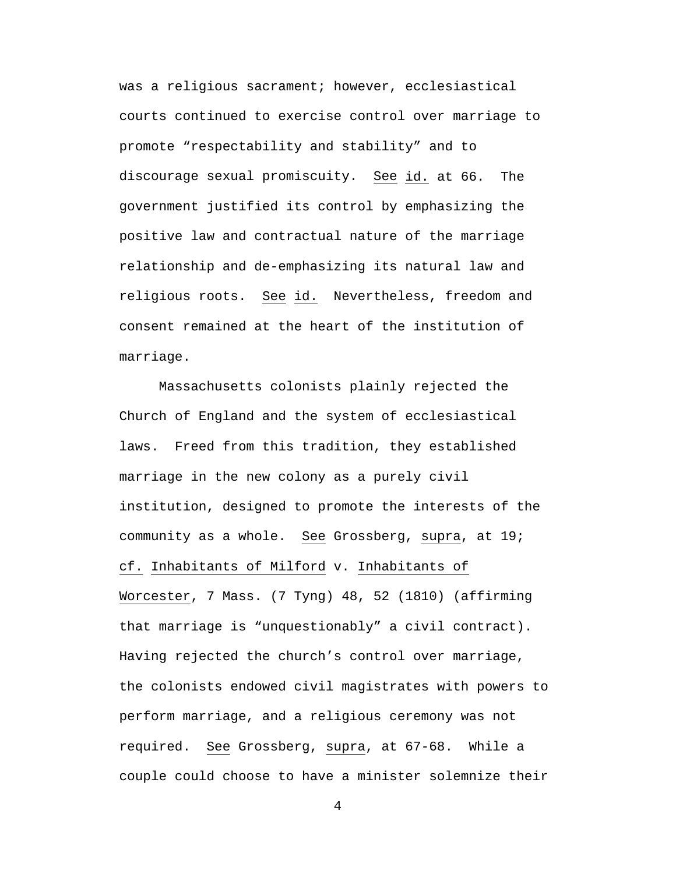was a religious sacrament; however, ecclesiastical courts continued to exercise control over marriage to promote "respectability and stability" and to discourage sexual promiscuity. See id. at 66. The government justified its control by emphasizing the positive law and contractual nature of the marriage relationship and de-emphasizing its natural law and religious roots. See id. Nevertheless, freedom and consent remained at the heart of the institution of marriage.

Massachusetts colonists plainly rejected the Church of England and the system of ecclesiastical laws. Freed from this tradition, they established marriage in the new colony as a purely civil institution, designed to promote the interests of the community as a whole. See Grossberg, supra, at 19; cf. Inhabitants of Milford v. Inhabitants of Worcester, 7 Mass. (7 Tyng) 48, 52 (1810) (affirming that marriage is "unquestionably" a civil contract). Having rejected the church's control over marriage, the colonists endowed civil magistrates with powers to perform marriage, and a religious ceremony was not required. See Grossberg, supra, at 67-68. While a couple could choose to have a minister solemnize their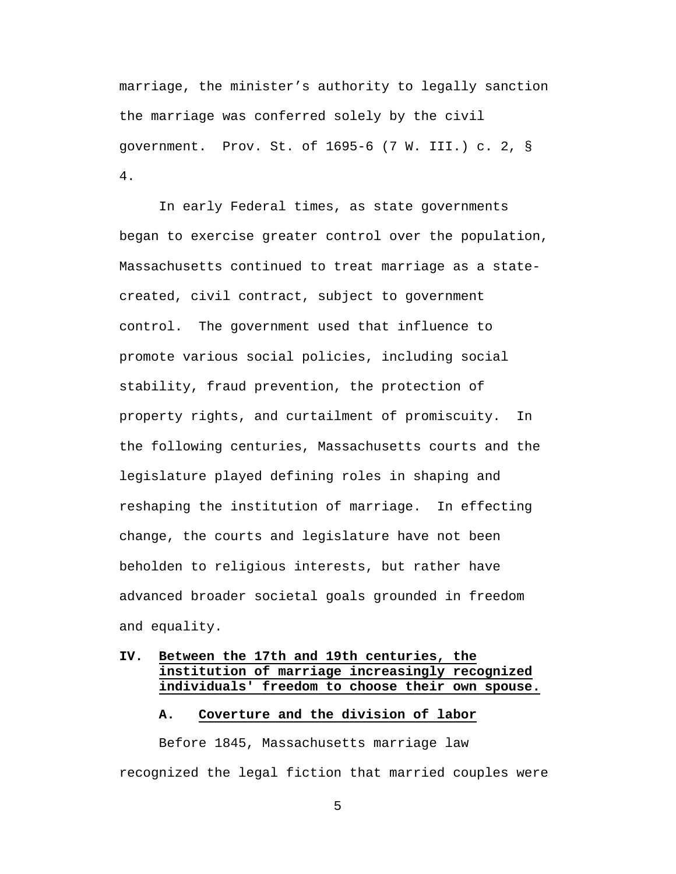marriage, the minister's authority to legally sanction the marriage was conferred solely by the civil government. Prov. St. of 1695-6 (7 W. III.) c. 2, § 4.

In early Federal times, as state governments began to exercise greater control over the population, Massachusetts continued to treat marriage as a statecreated, civil contract, subject to government control. The government used that influence to promote various social policies, including social stability, fraud prevention, the protection of property rights, and curtailment of promiscuity. In the following centuries, Massachusetts courts and the legislature played defining roles in shaping and reshaping the institution of marriage. In effecting change, the courts and legislature have not been beholden to religious interests, but rather have advanced broader societal goals grounded in freedom and equality.

# **IV. Between the 17th and 19th centuries, the institution of marriage increasingly recognized individuals' freedom to choose their own spouse.**

## **A. Coverture and the division of labor**

Before 1845, Massachusetts marriage law recognized the legal fiction that married couples were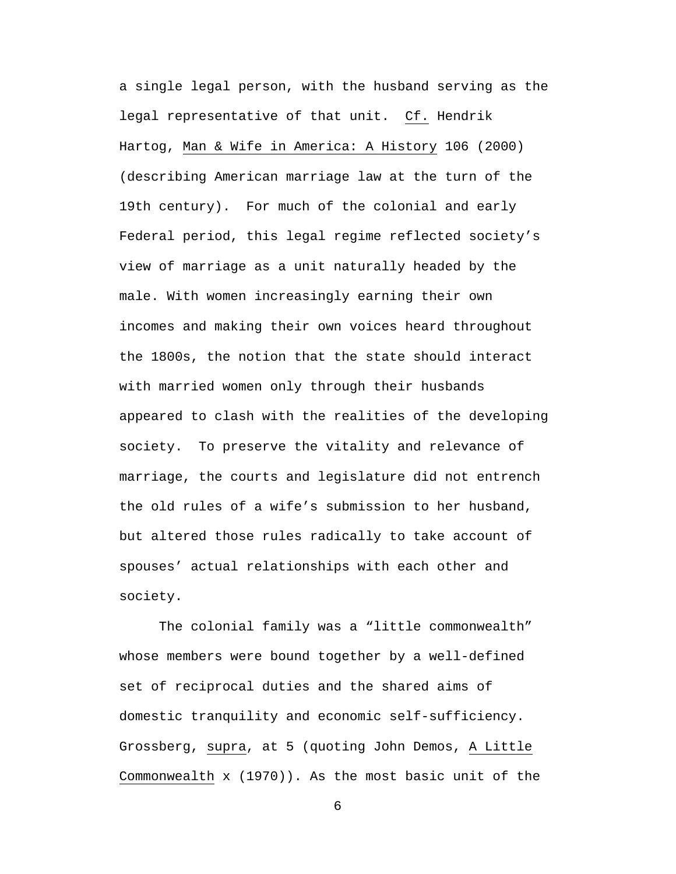a single legal person, with the husband serving as the legal representative of that unit. Cf. Hendrik Hartog, Man & Wife in America: A History 106 (2000) (describing American marriage law at the turn of the 19th century). For much of the colonial and early Federal period, this legal regime reflected society's view of marriage as a unit naturally headed by the male. With women increasingly earning their own incomes and making their own voices heard throughout the 1800s, the notion that the state should interact with married women only through their husbands appeared to clash with the realities of the developing society. To preserve the vitality and relevance of marriage, the courts and legislature did not entrench the old rules of a wife's submission to her husband, but altered those rules radically to take account of spouses' actual relationships with each other and society.

The colonial family was a "little commonwealth" whose members were bound together by a well-defined set of reciprocal duties and the shared aims of domestic tranquility and economic self-sufficiency. Grossberg, supra, at 5 (quoting John Demos, A Little Commonwealth x (1970)). As the most basic unit of the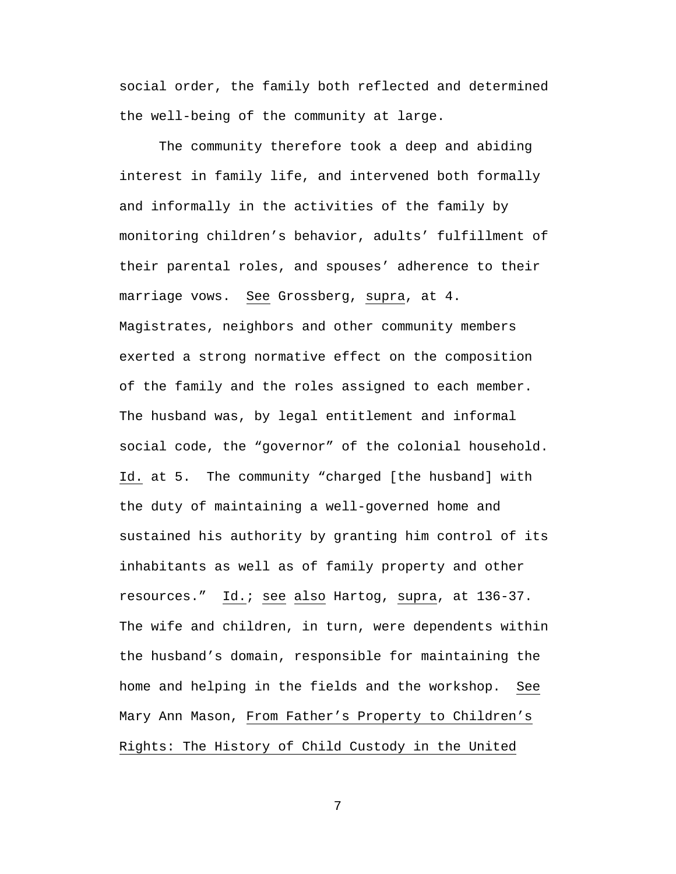social order, the family both reflected and determined the well-being of the community at large.

The community therefore took a deep and abiding interest in family life, and intervened both formally and informally in the activities of the family by monitoring children's behavior, adults' fulfillment of their parental roles, and spouses' adherence to their marriage vows. See Grossberg, supra, at 4. Magistrates, neighbors and other community members exerted a strong normative effect on the composition of the family and the roles assigned to each member. The husband was, by legal entitlement and informal social code, the "governor" of the colonial household. Id. at 5. The community "charged [the husband] with the duty of maintaining a well-governed home and sustained his authority by granting him control of its inhabitants as well as of family property and other resources." Id.; see also Hartog, supra, at 136-37. The wife and children, in turn, were dependents within the husband's domain, responsible for maintaining the home and helping in the fields and the workshop. See Mary Ann Mason, From Father's Property to Children's Rights: The History of Child Custody in the United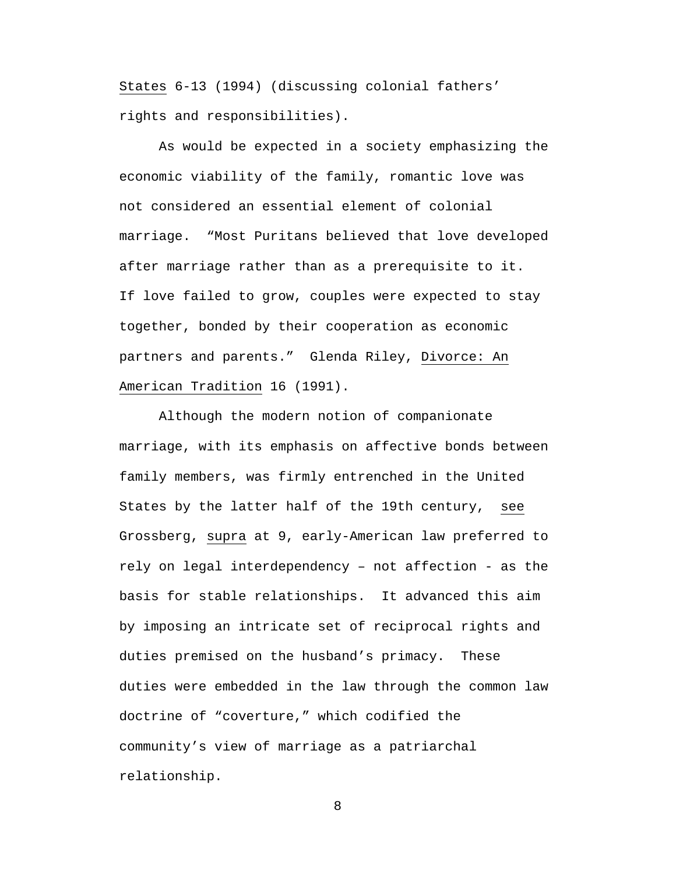States 6-13 (1994) (discussing colonial fathers' rights and responsibilities).

As would be expected in a society emphasizing the economic viability of the family, romantic love was not considered an essential element of colonial marriage. "Most Puritans believed that love developed after marriage rather than as a prerequisite to it. If love failed to grow, couples were expected to stay together, bonded by their cooperation as economic partners and parents." Glenda Riley, Divorce: An American Tradition 16 (1991).

Although the modern notion of companionate marriage, with its emphasis on affective bonds between family members, was firmly entrenched in the United States by the latter half of the 19th century, see Grossberg, supra at 9, early-American law preferred to rely on legal interdependency – not affection - as the basis for stable relationships. It advanced this aim by imposing an intricate set of reciprocal rights and duties premised on the husband's primacy. These duties were embedded in the law through the common law doctrine of "coverture," which codified the community's view of marriage as a patriarchal relationship.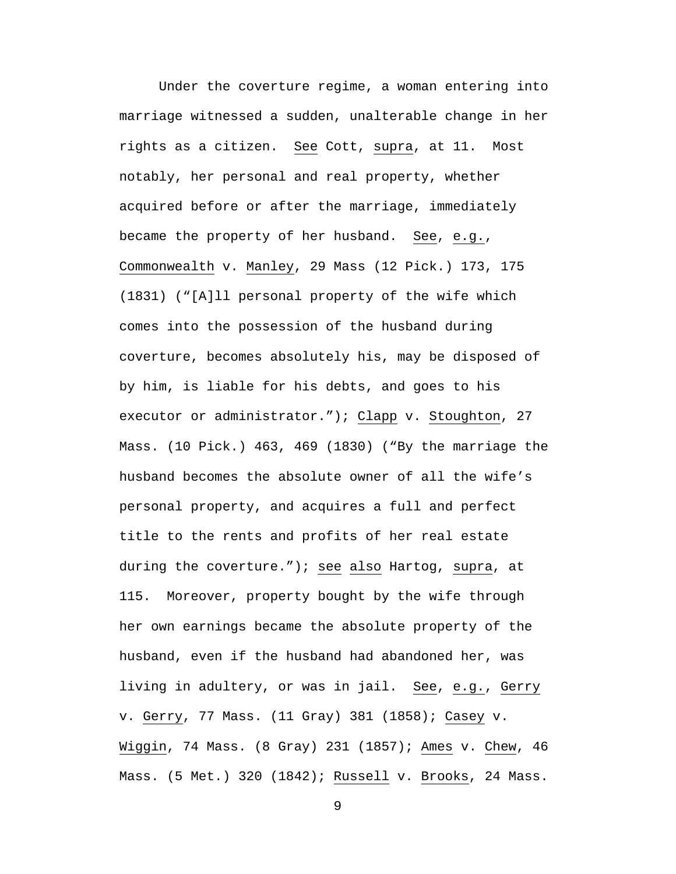Under the coverture regime, a woman entering into marriage witnessed a sudden, unalterable change in her rights as a citizen. See Cott, supra, at 11. Most notably, her personal and real property, whether acquired before or after the marriage, immediately became the property of her husband. See, e.g., Commonwealth v. Manley, 29 Mass (12 Pick.) 173, 175 (1831) ("[A]ll personal property of the wife which comes into the possession of the husband during coverture, becomes absolutely his, may be disposed of by him, is liable for his debts, and goes to his executor or administrator."); Clapp v. Stoughton, 27 Mass. (10 Pick.) 463, 469 (1830) ("By the marriage the husband becomes the absolute owner of all the wife's personal property, and acquires a full and perfect title to the rents and profits of her real estate during the coverture."); see also Hartog, supra, at 115. Moreover, property bought by the wife through her own earnings became the absolute property of the husband, even if the husband had abandoned her, was living in adultery, or was in jail. See, e.g., Gerry v. Gerry, 77 Mass. (11 Gray) 381 (1858); Casey v. Wiggin, 74 Mass. (8 Gray) 231 (1857); Ames v. Chew, 46 Mass. (5 Met.) 320 (1842); Russell v. Brooks, 24 Mass.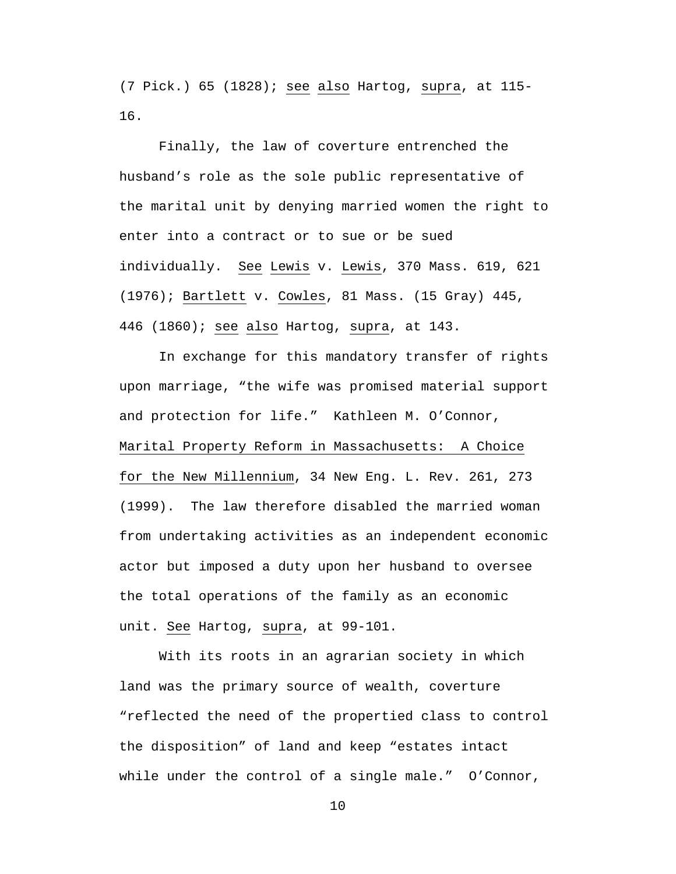(7 Pick.) 65 (1828); see also Hartog, supra, at 115- 16.

Finally, the law of coverture entrenched the husband's role as the sole public representative of the marital unit by denying married women the right to enter into a contract or to sue or be sued individually. See Lewis v. Lewis, 370 Mass. 619, 621 (1976); Bartlett v. Cowles, 81 Mass. (15 Gray) 445, 446 (1860); see also Hartog, supra, at 143.

In exchange for this mandatory transfer of rights upon marriage, "the wife was promised material support and protection for life." Kathleen M. O'Connor, Marital Property Reform in Massachusetts: A Choice for the New Millennium, 34 New Eng. L. Rev. 261, 273 (1999). The law therefore disabled the married woman from undertaking activities as an independent economic actor but imposed a duty upon her husband to oversee the total operations of the family as an economic unit. See Hartog, supra, at 99-101.

With its roots in an agrarian society in which land was the primary source of wealth, coverture "reflected the need of the propertied class to control the disposition" of land and keep "estates intact while under the control of a single male." O'Connor,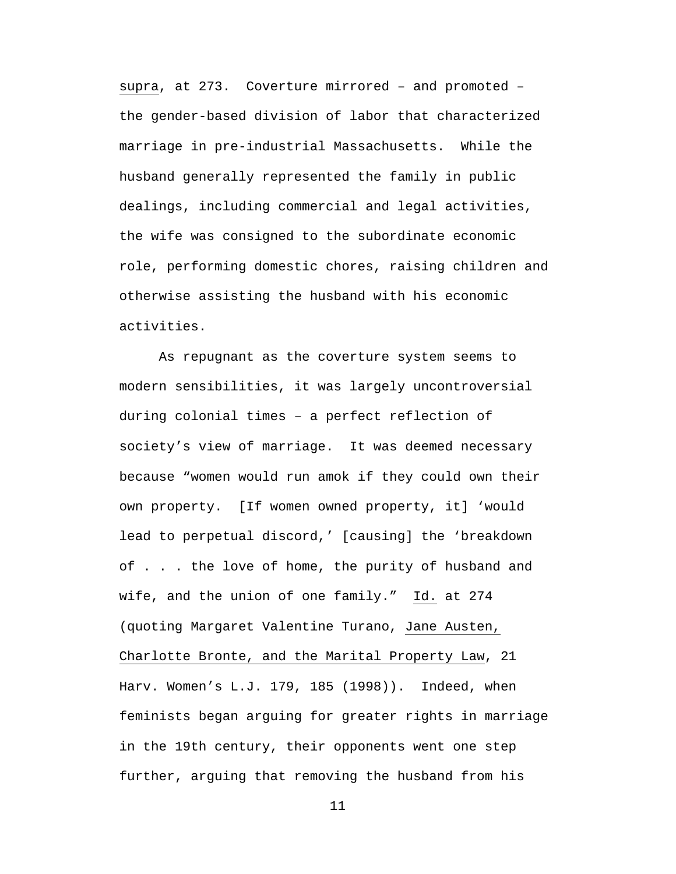supra, at 273. Coverture mirrored – and promoted – the gender-based division of labor that characterized marriage in pre-industrial Massachusetts. While the husband generally represented the family in public dealings, including commercial and legal activities, the wife was consigned to the subordinate economic role, performing domestic chores, raising children and otherwise assisting the husband with his economic activities.

As repugnant as the coverture system seems to modern sensibilities, it was largely uncontroversial during colonial times – a perfect reflection of society's view of marriage. It was deemed necessary because "women would run amok if they could own their own property. [If women owned property, it] 'would lead to perpetual discord,' [causing] the 'breakdown of . . . the love of home, the purity of husband and wife, and the union of one family." Id. at 274 (quoting Margaret Valentine Turano, Jane Austen, Charlotte Bronte, and the Marital Property Law, 21 Harv. Women's L.J. 179, 185 (1998)). Indeed, when feminists began arguing for greater rights in marriage in the 19th century, their opponents went one step further, arguing that removing the husband from his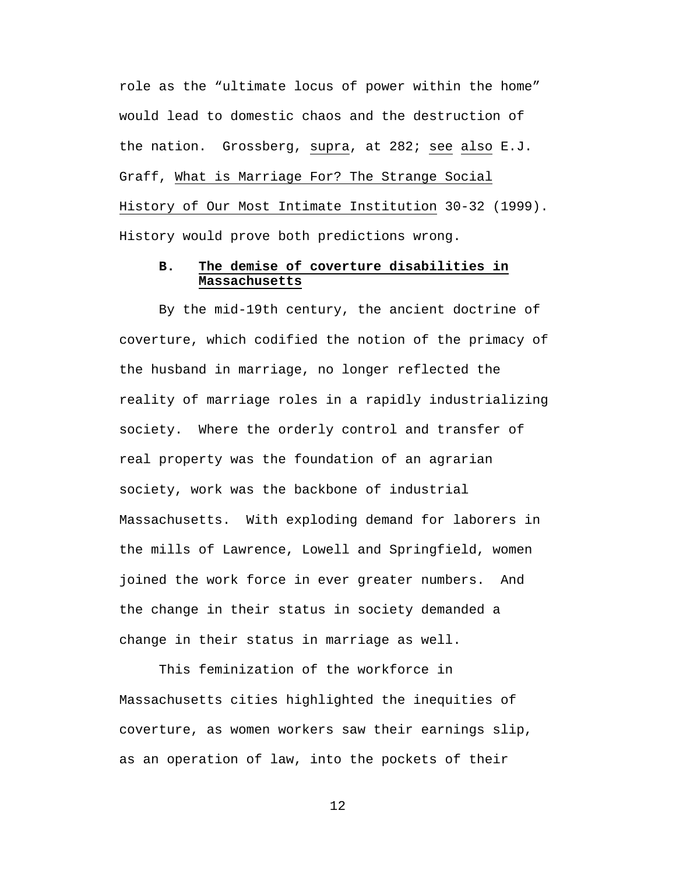role as the "ultimate locus of power within the home" would lead to domestic chaos and the destruction of the nation. Grossberg, supra, at 282; see also E.J. Graff, What is Marriage For? The Strange Social History of Our Most Intimate Institution 30-32 (1999). History would prove both predictions wrong.

# **B. The demise of coverture disabilities in Massachusetts**

By the mid-19th century, the ancient doctrine of coverture, which codified the notion of the primacy of the husband in marriage, no longer reflected the reality of marriage roles in a rapidly industrializing society. Where the orderly control and transfer of real property was the foundation of an agrarian society, work was the backbone of industrial Massachusetts. With exploding demand for laborers in the mills of Lawrence, Lowell and Springfield, women joined the work force in ever greater numbers. And the change in their status in society demanded a change in their status in marriage as well.

This feminization of the workforce in Massachusetts cities highlighted the inequities of coverture, as women workers saw their earnings slip, as an operation of law, into the pockets of their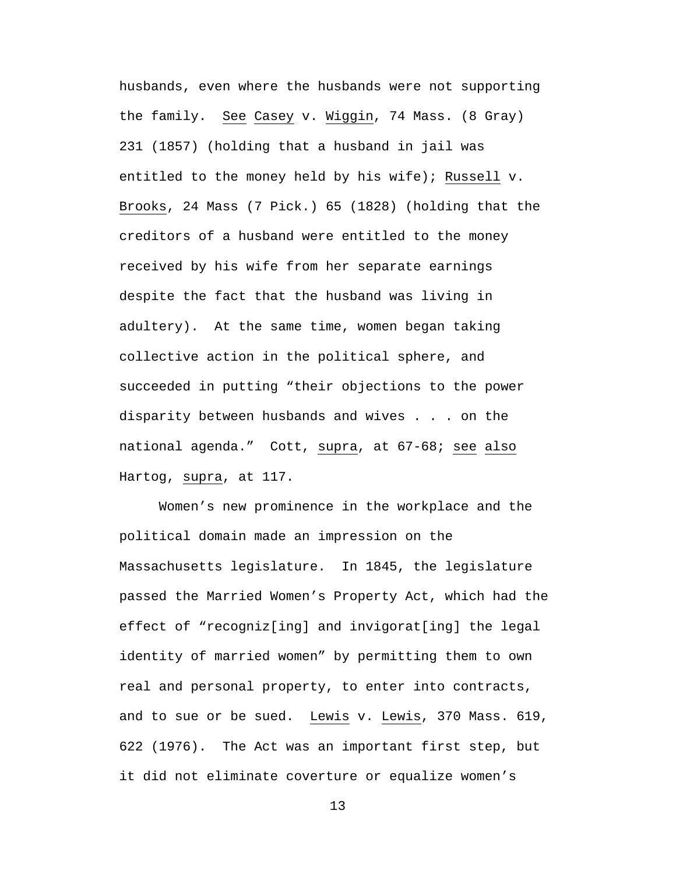husbands, even where the husbands were not supporting the family. See Casey v. Wiggin, 74 Mass. (8 Gray) 231 (1857) (holding that a husband in jail was entitled to the money held by his wife); Russell v. Brooks, 24 Mass (7 Pick.) 65 (1828) (holding that the creditors of a husband were entitled to the money received by his wife from her separate earnings despite the fact that the husband was living in adultery). At the same time, women began taking collective action in the political sphere, and succeeded in putting "their objections to the power disparity between husbands and wives . . . on the national agenda." Cott, supra, at 67-68; see also Hartog, supra, at 117.

Women's new prominence in the workplace and the political domain made an impression on the Massachusetts legislature. In 1845, the legislature passed the Married Women's Property Act, which had the effect of "recogniz[ing] and invigorat[ing] the legal identity of married women" by permitting them to own real and personal property, to enter into contracts, and to sue or be sued. Lewis v. Lewis, 370 Mass. 619, 622 (1976). The Act was an important first step, but it did not eliminate coverture or equalize women's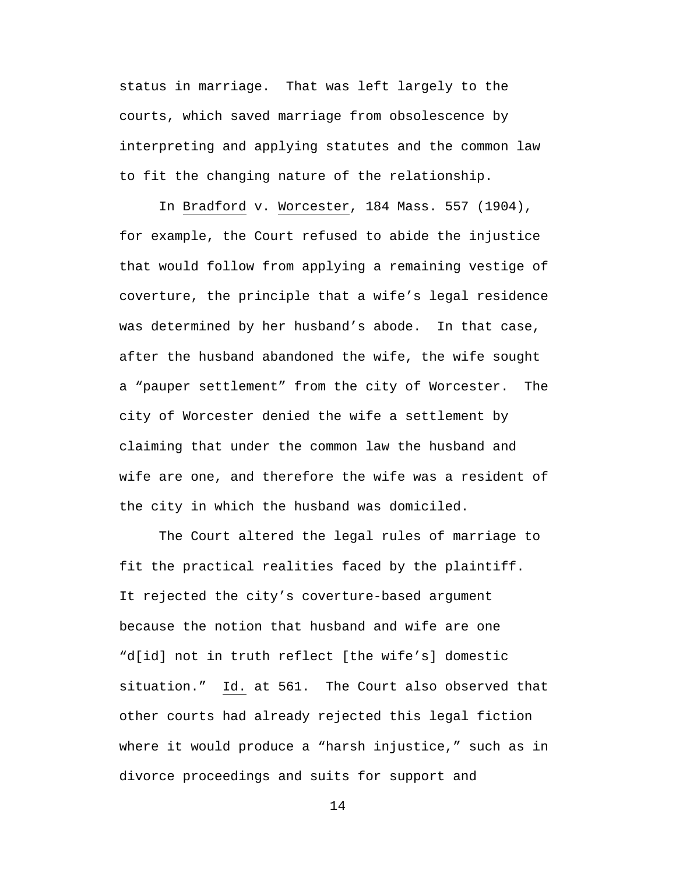status in marriage. That was left largely to the courts, which saved marriage from obsolescence by interpreting and applying statutes and the common law to fit the changing nature of the relationship.

In Bradford v. Worcester, 184 Mass. 557 (1904), for example, the Court refused to abide the injustice that would follow from applying a remaining vestige of coverture, the principle that a wife's legal residence was determined by her husband's abode. In that case, after the husband abandoned the wife, the wife sought a "pauper settlement" from the city of Worcester. The city of Worcester denied the wife a settlement by claiming that under the common law the husband and wife are one, and therefore the wife was a resident of the city in which the husband was domiciled.

The Court altered the legal rules of marriage to fit the practical realities faced by the plaintiff. It rejected the city's coverture-based argument because the notion that husband and wife are one "d[id] not in truth reflect [the wife's] domestic situation." Id. at 561. The Court also observed that other courts had already rejected this legal fiction where it would produce a "harsh injustice," such as in divorce proceedings and suits for support and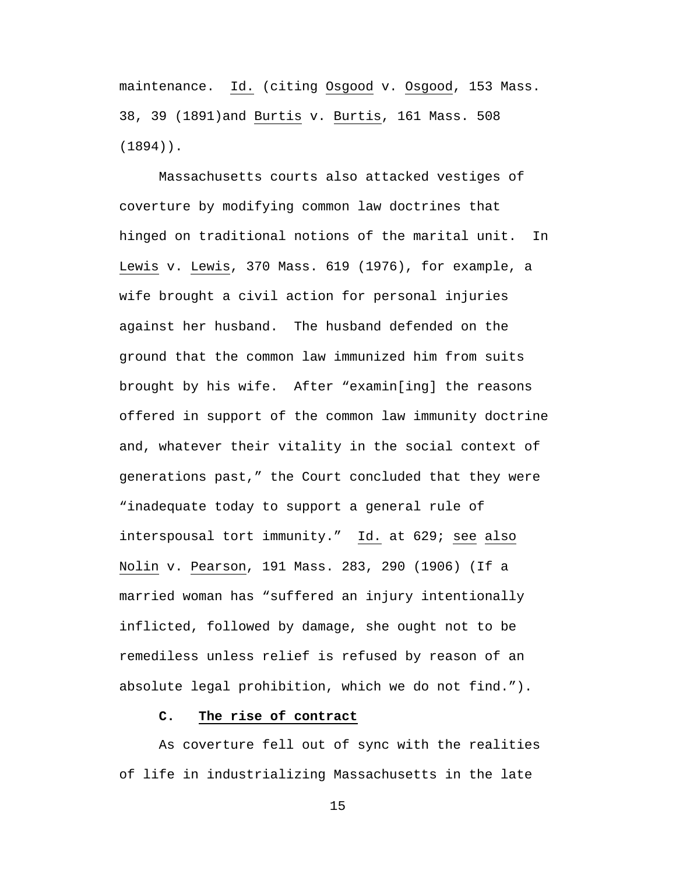maintenance. Id. (citing Osgood v. Osgood, 153 Mass. 38, 39 (1891)and Burtis v. Burtis, 161 Mass. 508 (1894)).

Massachusetts courts also attacked vestiges of coverture by modifying common law doctrines that hinged on traditional notions of the marital unit. In Lewis v. Lewis, 370 Mass. 619 (1976), for example, a wife brought a civil action for personal injuries against her husband. The husband defended on the ground that the common law immunized him from suits brought by his wife. After "examin[ing] the reasons offered in support of the common law immunity doctrine and, whatever their vitality in the social context of generations past," the Court concluded that they were "inadequate today to support a general rule of interspousal tort immunity." Id. at 629; see also Nolin v. Pearson, 191 Mass. 283, 290 (1906) (If a married woman has "suffered an injury intentionally inflicted, followed by damage, she ought not to be remediless unless relief is refused by reason of an absolute legal prohibition, which we do not find.").

## **C. The rise of contract**

As coverture fell out of sync with the realities of life in industrializing Massachusetts in the late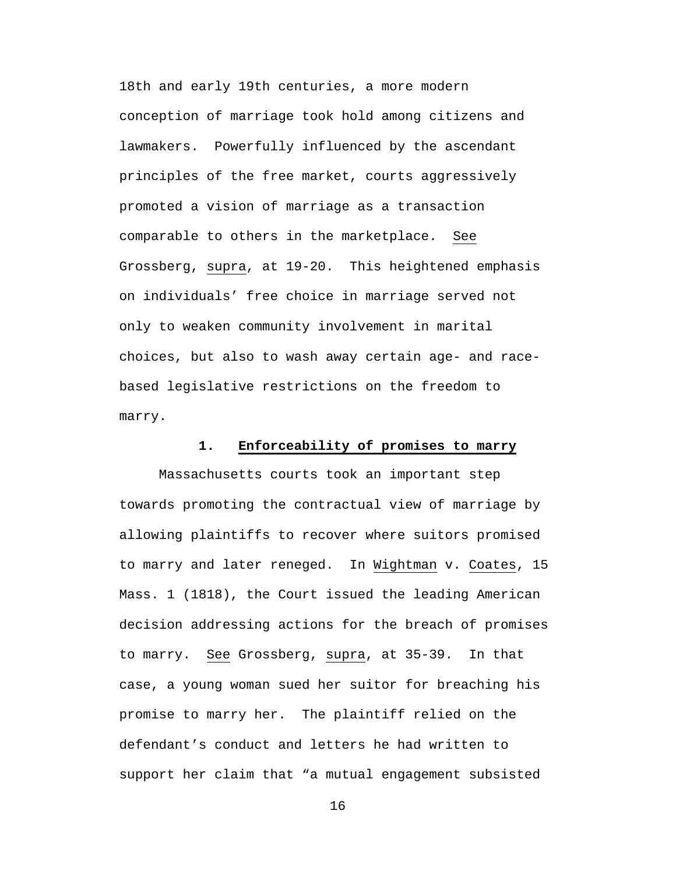18th and early 19th centuries, a more modern conception of marriage took hold among citizens and lawmakers. Powerfully influenced by the ascendant principles of the free market, courts aggressively promoted a vision of marriage as a transaction comparable to others in the marketplace. See Grossberg, supra, at 19-20. This heightened emphasis on individuals' free choice in marriage served not only to weaken community involvement in marital choices, but also to wash away certain age- and racebased legislative restrictions on the freedom to marry.

### **1. Enforceability of promises to marry**

Massachusetts courts took an important step towards promoting the contractual view of marriage by allowing plaintiffs to recover where suitors promised to marry and later reneged. In Wightman v. Coates, 15 Mass. 1 (1818), the Court issued the leading American decision addressing actions for the breach of promises to marry. See Grossberg, supra, at 35-39. In that case, a young woman sued her suitor for breaching his promise to marry her. The plaintiff relied on the defendant's conduct and letters he had written to support her claim that "a mutual engagement subsisted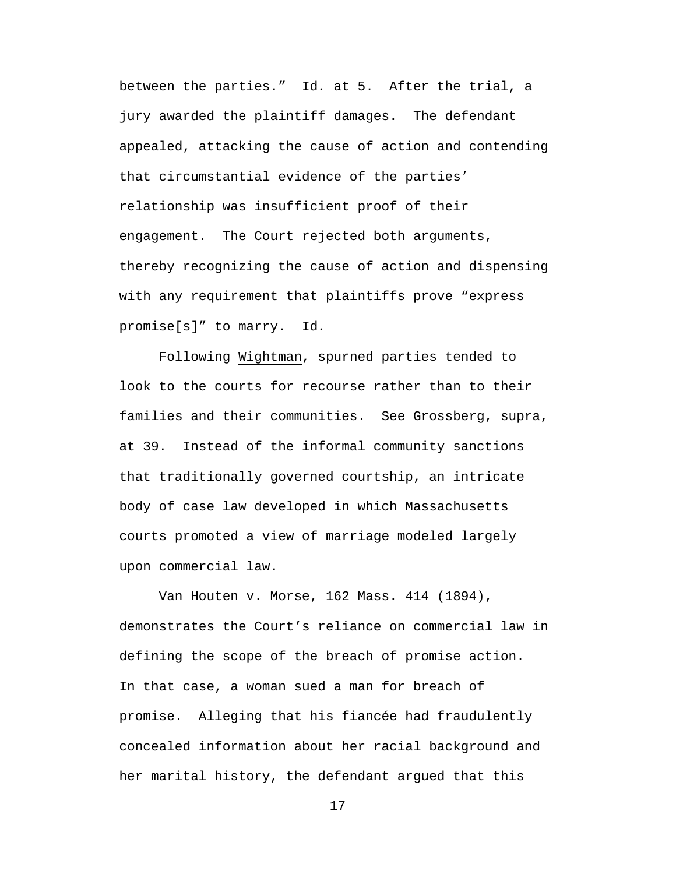between the parties." Id*.* at 5. After the trial, a jury awarded the plaintiff damages. The defendant appealed, attacking the cause of action and contending that circumstantial evidence of the parties' relationship was insufficient proof of their engagement. The Court rejected both arguments, thereby recognizing the cause of action and dispensing with any requirement that plaintiffs prove "express promise[s]" to marry. Id*.*

Following Wightman, spurned parties tended to look to the courts for recourse rather than to their families and their communities. See Grossberg, supra, at 39. Instead of the informal community sanctions that traditionally governed courtship, an intricate body of case law developed in which Massachusetts courts promoted a view of marriage modeled largely upon commercial law.

Van Houten v. Morse, 162 Mass. 414 (1894), demonstrates the Court's reliance on commercial law in defining the scope of the breach of promise action. In that case, a woman sued a man for breach of promise. Alleging that his fiancée had fraudulently concealed information about her racial background and her marital history, the defendant argued that this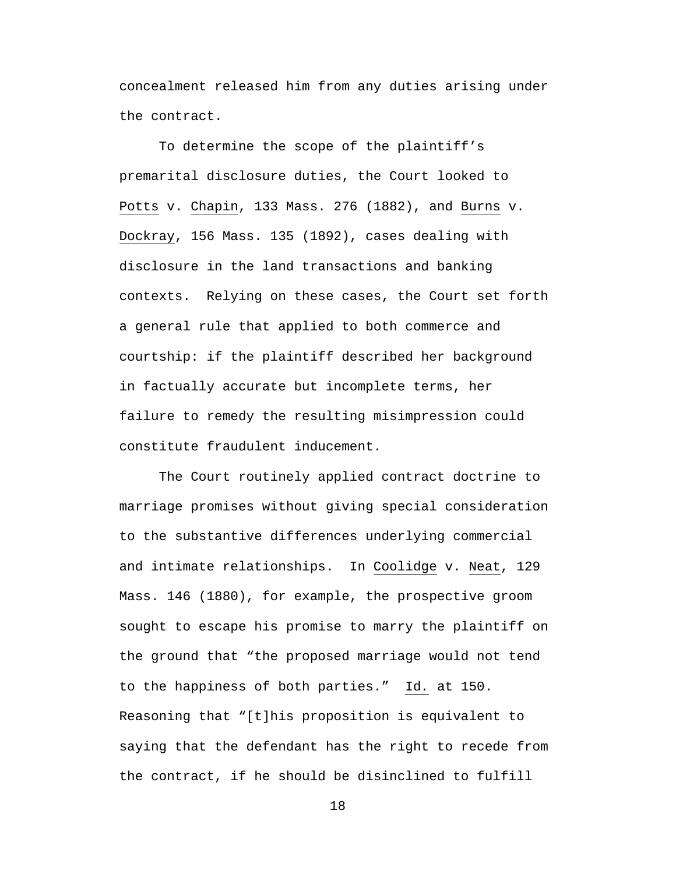concealment released him from any duties arising under the contract.

To determine the scope of the plaintiff's premarital disclosure duties, the Court looked to Potts v. Chapin, 133 Mass. 276 (1882), and Burns v. Dockray, 156 Mass. 135 (1892), cases dealing with disclosure in the land transactions and banking contexts. Relying on these cases, the Court set forth a general rule that applied to both commerce and courtship: if the plaintiff described her background in factually accurate but incomplete terms, her failure to remedy the resulting misimpression could constitute fraudulent inducement.

The Court routinely applied contract doctrine to marriage promises without giving special consideration to the substantive differences underlying commercial and intimate relationships. In Coolidge v. Neat, 129 Mass. 146 (1880), for example, the prospective groom sought to escape his promise to marry the plaintiff on the ground that "the proposed marriage would not tend to the happiness of both parties." Id*.* at 150. Reasoning that "[t]his proposition is equivalent to saying that the defendant has the right to recede from the contract, if he should be disinclined to fulfill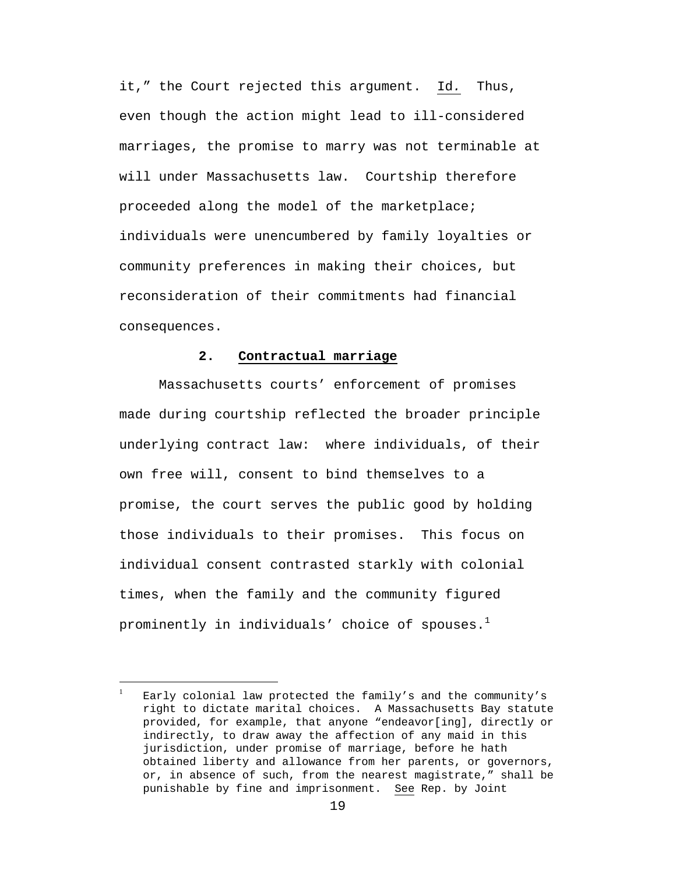it," the Court rejected this argument. Id*.* Thus, even though the action might lead to ill-considered marriages, the promise to marry was not terminable at will under Massachusetts law. Courtship therefore proceeded along the model of the marketplace; individuals were unencumbered by family loyalties or community preferences in making their choices, but reconsideration of their commitments had financial consequences.

#### **2. Contractual marriage**

Massachusetts courts' enforcement of promises made during courtship reflected the broader principle underlying contract law: where individuals, of their own free will, consent to bind themselves to a promise, the court serves the public good by holding those individuals to their promises. This focus on individual consent contrasted starkly with colonial times, when the family and the community figured prominently in individuals' choice of spouses. $<sup>1</sup>$ </sup>

 $\overline{a}$ 

<sup>1</sup> Early colonial law protected the family's and the community's right to dictate marital choices. A Massachusetts Bay statute provided, for example, that anyone "endeavor[ing], directly or indirectly, to draw away the affection of any maid in this jurisdiction, under promise of marriage, before he hath obtained liberty and allowance from her parents, or governors, or, in absence of such, from the nearest magistrate," shall be punishable by fine and imprisonment. See Rep. by Joint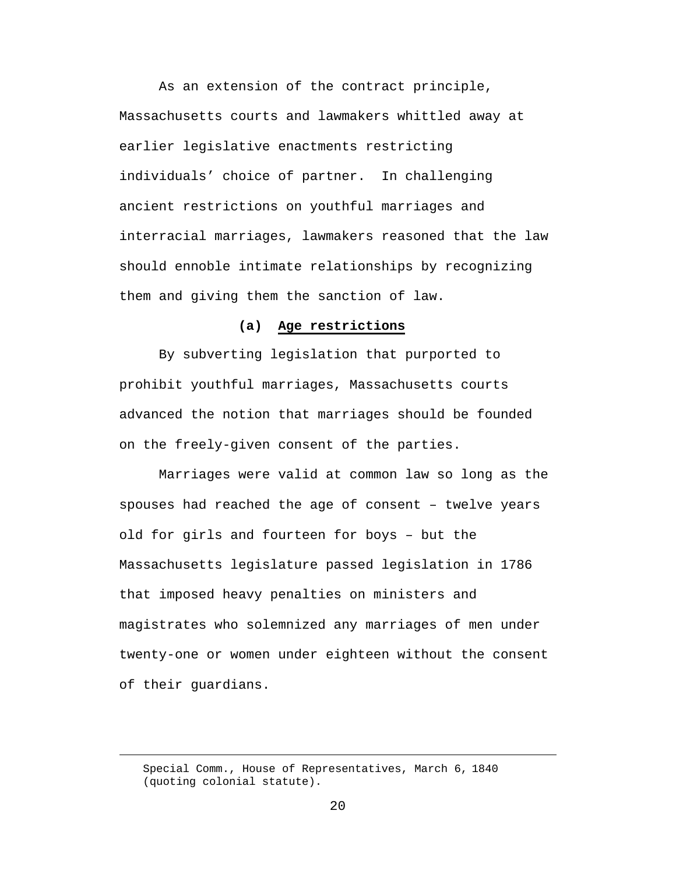As an extension of the contract principle, Massachusetts courts and lawmakers whittled away at earlier legislative enactments restricting individuals' choice of partner. In challenging ancient restrictions on youthful marriages and interracial marriages, lawmakers reasoned that the law should ennoble intimate relationships by recognizing them and giving them the sanction of law.

### **(a) Age restrictions**

By subverting legislation that purported to prohibit youthful marriages, Massachusetts courts advanced the notion that marriages should be founded on the freely-given consent of the parties.

Marriages were valid at common law so long as the spouses had reached the age of consent – twelve years old for girls and fourteen for boys – but the Massachusetts legislature passed legislation in 1786 that imposed heavy penalties on ministers and magistrates who solemnized any marriages of men under twenty-one or women under eighteen without the consent of their guardians.

Special Comm., House of Representatives, March 6, 1840 (quoting colonial statute).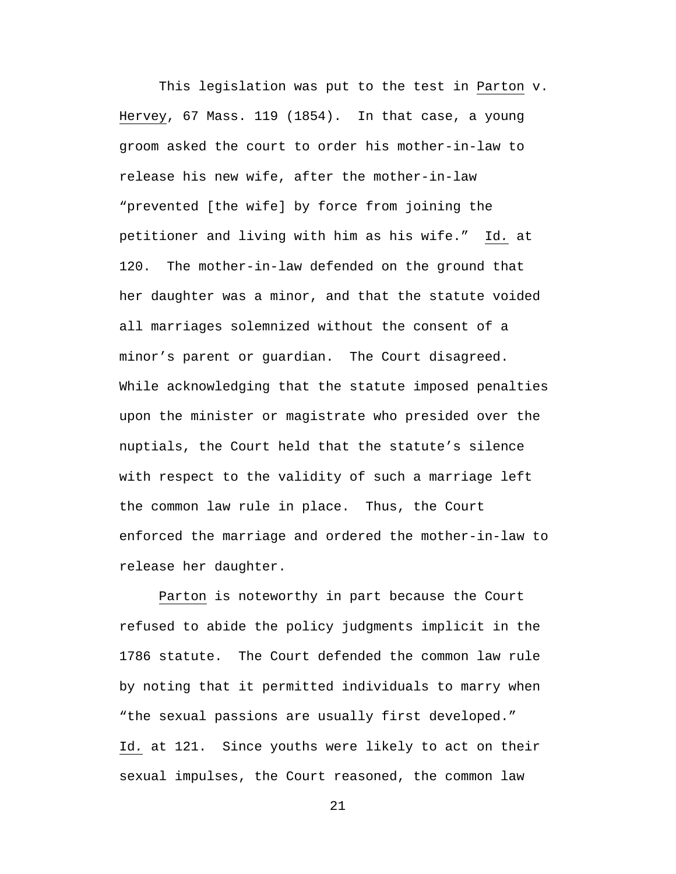This legislation was put to the test in Parton v. Hervey, 67 Mass. 119 (1854). In that case, a young groom asked the court to order his mother-in-law to release his new wife, after the mother-in-law "prevented [the wife] by force from joining the petitioner and living with him as his wife." Id*.* at 120. The mother-in-law defended on the ground that her daughter was a minor, and that the statute voided all marriages solemnized without the consent of a minor's parent or guardian. The Court disagreed. While acknowledging that the statute imposed penalties upon the minister or magistrate who presided over the nuptials, the Court held that the statute's silence with respect to the validity of such a marriage left the common law rule in place. Thus, the Court enforced the marriage and ordered the mother-in-law to release her daughter.

Parton is noteworthy in part because the Court refused to abide the policy judgments implicit in the 1786 statute. The Court defended the common law rule by noting that it permitted individuals to marry when "the sexual passions are usually first developed." Id*.* at 121. Since youths were likely to act on their sexual impulses, the Court reasoned, the common law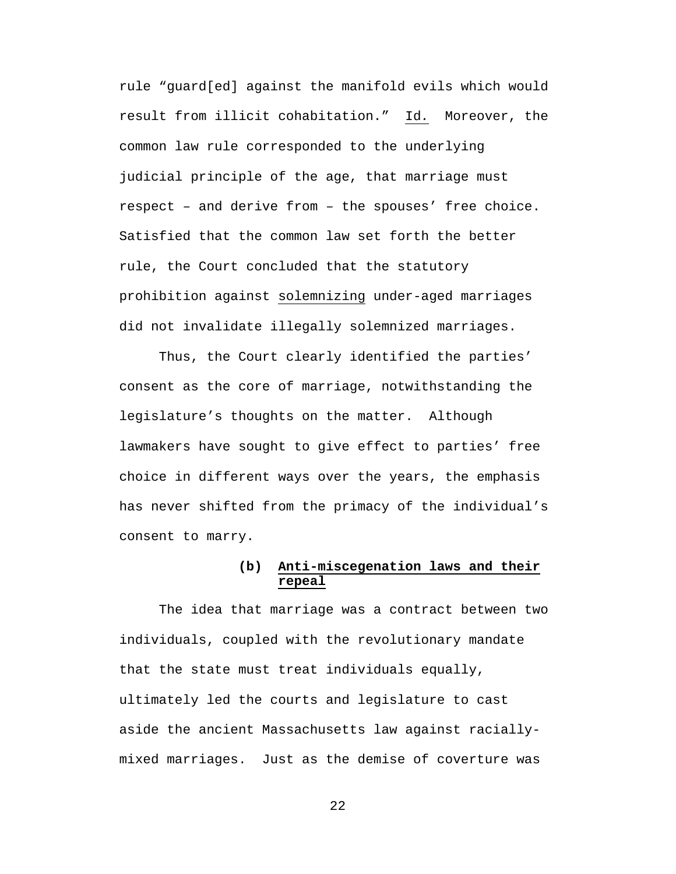rule "guard[ed] against the manifold evils which would result from illicit cohabitation." Id*.* Moreover, the common law rule corresponded to the underlying judicial principle of the age, that marriage must respect – and derive from – the spouses' free choice. Satisfied that the common law set forth the better rule, the Court concluded that the statutory prohibition against solemnizing under-aged marriages did not invalidate illegally solemnized marriages.

Thus, the Court clearly identified the parties' consent as the core of marriage, notwithstanding the legislature's thoughts on the matter. Although lawmakers have sought to give effect to parties' free choice in different ways over the years, the emphasis has never shifted from the primacy of the individual's consent to marry.

## **(b) Anti-miscegenation laws and their repeal**

The idea that marriage was a contract between two individuals, coupled with the revolutionary mandate that the state must treat individuals equally, ultimately led the courts and legislature to cast aside the ancient Massachusetts law against raciallymixed marriages. Just as the demise of coverture was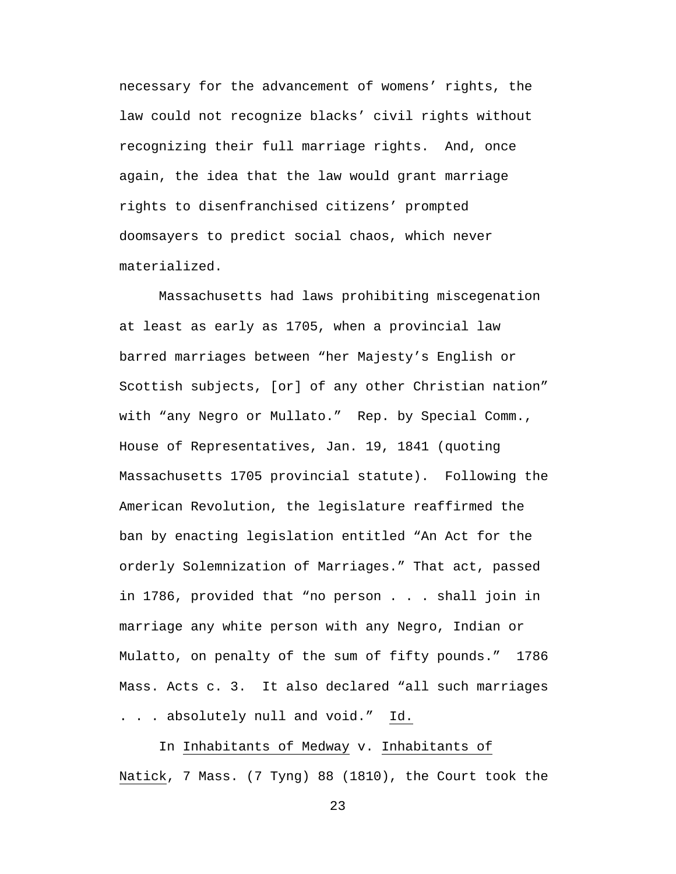necessary for the advancement of womens' rights, the law could not recognize blacks' civil rights without recognizing their full marriage rights. And, once again, the idea that the law would grant marriage rights to disenfranchised citizens' prompted doomsayers to predict social chaos, which never materialized.

Massachusetts had laws prohibiting miscegenation at least as early as 1705, when a provincial law barred marriages between "her Majesty's English or Scottish subjects, [or] of any other Christian nation" with "any Negro or Mullato." Rep. by Special Comm., House of Representatives, Jan. 19, 1841 (quoting Massachusetts 1705 provincial statute). Following the American Revolution, the legislature reaffirmed the ban by enacting legislation entitled "An Act for the orderly Solemnization of Marriages." That act, passed in 1786, provided that "no person . . . shall join in marriage any white person with any Negro, Indian or Mulatto, on penalty of the sum of fifty pounds." 1786 Mass. Acts c. 3. It also declared "all such marriages . . . absolutely null and void." Id.

 In Inhabitants of Medway v. Inhabitants of Natick, 7 Mass. (7 Tyng) 88 (1810), the Court took the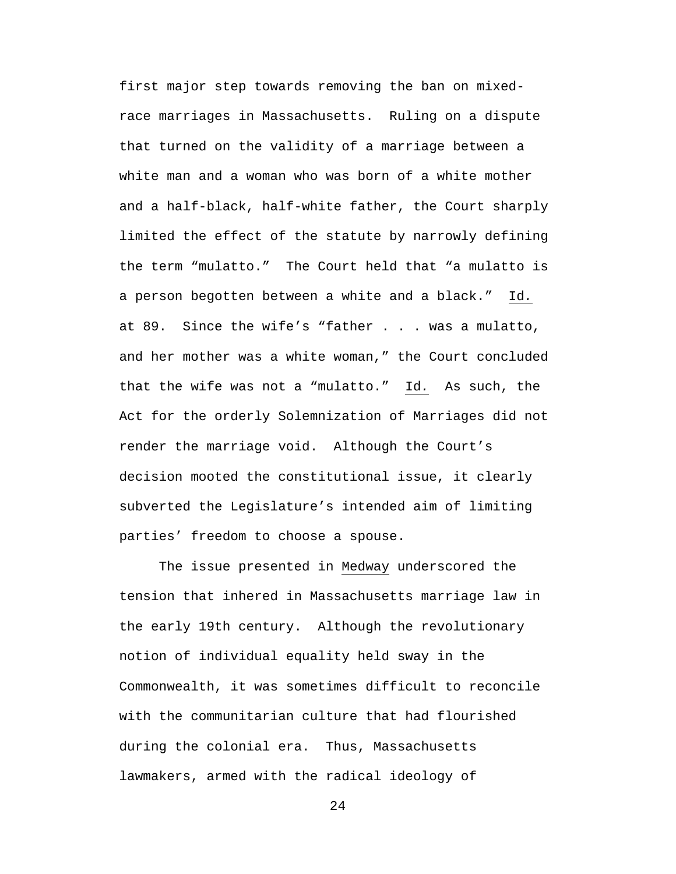first major step towards removing the ban on mixedrace marriages in Massachusetts. Ruling on a dispute that turned on the validity of a marriage between a white man and a woman who was born of a white mother and a half-black, half-white father, the Court sharply limited the effect of the statute by narrowly defining the term "mulatto." The Court held that "a mulatto is a person begotten between a white and a black." Id*.* at 89. Since the wife's "father . . . was a mulatto, and her mother was a white woman," the Court concluded that the wife was not a "mulatto." Id*.* As such, the Act for the orderly Solemnization of Marriages did not render the marriage void. Although the Court's decision mooted the constitutional issue, it clearly subverted the Legislature's intended aim of limiting parties' freedom to choose a spouse.

The issue presented in Medway underscored the tension that inhered in Massachusetts marriage law in the early 19th century. Although the revolutionary notion of individual equality held sway in the Commonwealth, it was sometimes difficult to reconcile with the communitarian culture that had flourished during the colonial era. Thus, Massachusetts lawmakers, armed with the radical ideology of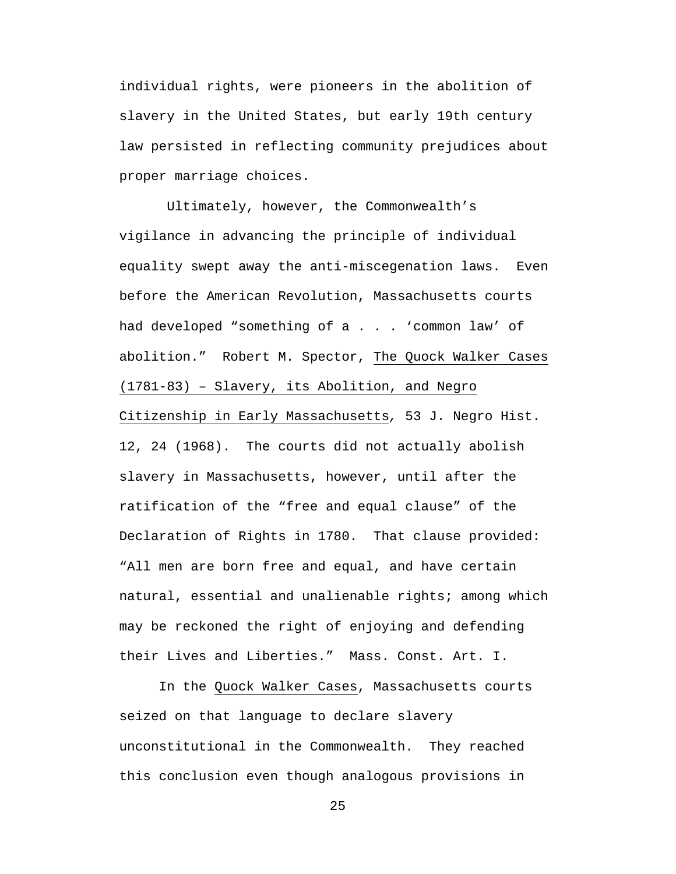individual rights, were pioneers in the abolition of slavery in the United States, but early 19th century law persisted in reflecting community prejudices about proper marriage choices.

 Ultimately, however, the Commonwealth's vigilance in advancing the principle of individual equality swept away the anti-miscegenation laws. Even before the American Revolution, Massachusetts courts had developed "something of a . . . 'common law' of abolition." Robert M. Spector, The Quock Walker Cases (1781-83) – Slavery, its Abolition, and Negro Citizenship in Early Massachusetts*,* 53 J. Negro Hist. 12, 24 (1968). The courts did not actually abolish slavery in Massachusetts, however, until after the ratification of the "free and equal clause" of the Declaration of Rights in 1780. That clause provided: "All men are born free and equal, and have certain natural, essential and unalienable rights; among which may be reckoned the right of enjoying and defending their Lives and Liberties." Mass. Const. Art. I.

In the Quock Walker Cases, Massachusetts courts seized on that language to declare slavery unconstitutional in the Commonwealth. They reached this conclusion even though analogous provisions in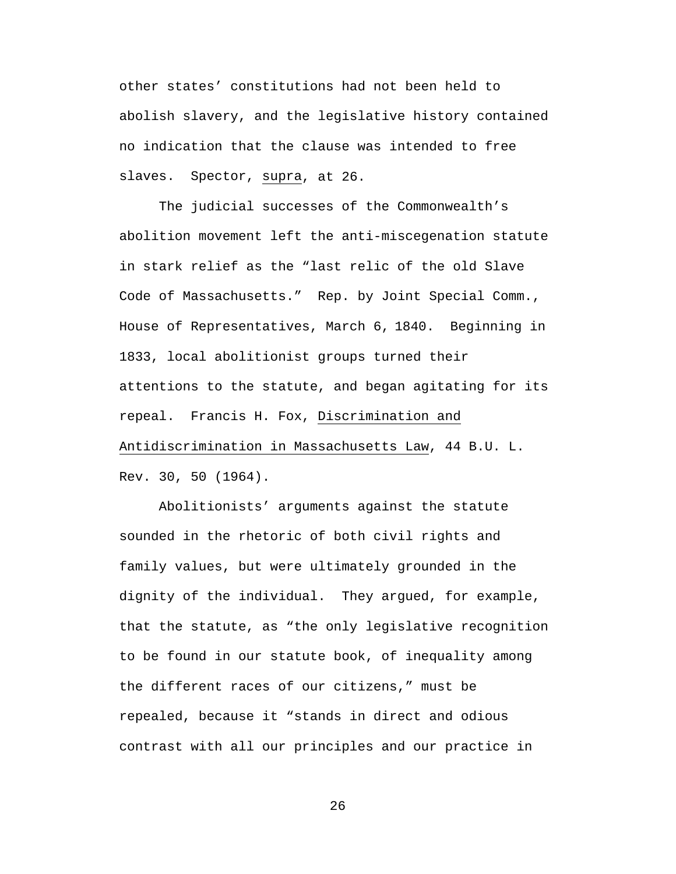other states' constitutions had not been held to abolish slavery, and the legislative history contained no indication that the clause was intended to free slaves. Spector, supra, at 26.

The judicial successes of the Commonwealth's abolition movement left the anti-miscegenation statute in stark relief as the "last relic of the old Slave Code of Massachusetts." Rep. by Joint Special Comm., House of Representatives, March 6, 1840. Beginning in 1833, local abolitionist groups turned their attentions to the statute, and began agitating for its repeal. Francis H. Fox, Discrimination and Antidiscrimination in Massachusetts Law, 44 B.U. L. Rev. 30, 50 (1964).

Abolitionists' arguments against the statute sounded in the rhetoric of both civil rights and family values, but were ultimately grounded in the dignity of the individual. They argued, for example, that the statute, as "the only legislative recognition to be found in our statute book, of inequality among the different races of our citizens," must be repealed, because it "stands in direct and odious contrast with all our principles and our practice in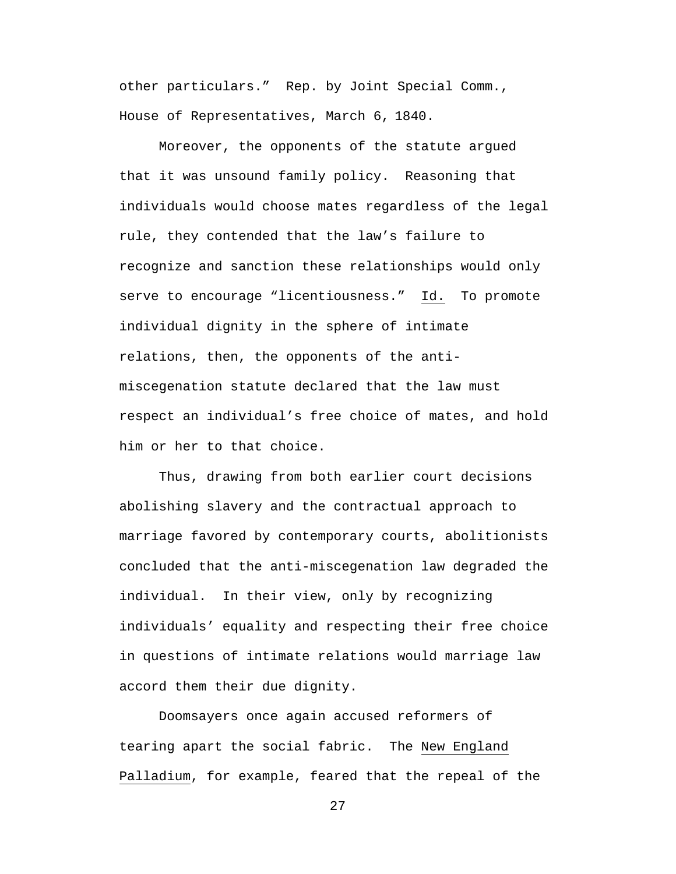other particulars." Rep. by Joint Special Comm., House of Representatives, March 6, 1840.

Moreover, the opponents of the statute argued that it was unsound family policy. Reasoning that individuals would choose mates regardless of the legal rule, they contended that the law's failure to recognize and sanction these relationships would only serve to encourage "licentiousness." Id. To promote individual dignity in the sphere of intimate relations, then, the opponents of the antimiscegenation statute declared that the law must respect an individual's free choice of mates, and hold him or her to that choice.

Thus, drawing from both earlier court decisions abolishing slavery and the contractual approach to marriage favored by contemporary courts, abolitionists concluded that the anti-miscegenation law degraded the individual. In their view, only by recognizing individuals' equality and respecting their free choice in questions of intimate relations would marriage law accord them their due dignity.

Doomsayers once again accused reformers of tearing apart the social fabric. The New England Palladium, for example, feared that the repeal of the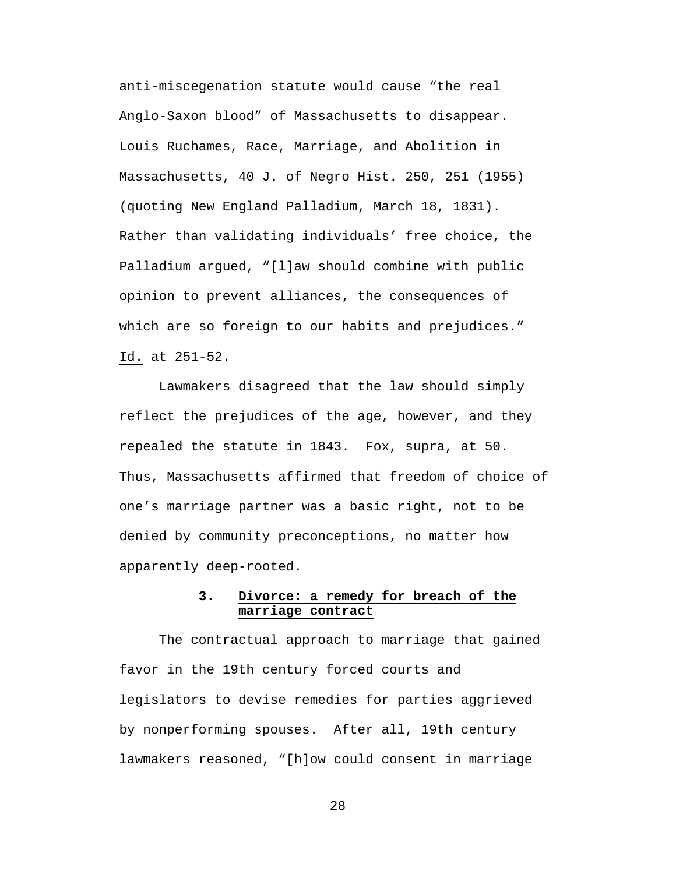anti-miscegenation statute would cause "the real Anglo-Saxon blood" of Massachusetts to disappear. Louis Ruchames, Race, Marriage, and Abolition in Massachusetts, 40 J. of Negro Hist. 250, 251 (1955) (quoting New England Palladium, March 18, 1831). Rather than validating individuals' free choice, the Palladium argued, "[l]aw should combine with public opinion to prevent alliances, the consequences of which are so foreign to our habits and prejudices." Id. at 251-52.

Lawmakers disagreed that the law should simply reflect the prejudices of the age, however, and they repealed the statute in 1843. Fox, supra, at 50. Thus, Massachusetts affirmed that freedom of choice of one's marriage partner was a basic right, not to be denied by community preconceptions, no matter how apparently deep-rooted.

## **3. Divorce: a remedy for breach of the marriage contract**

The contractual approach to marriage that gained favor in the 19th century forced courts and legislators to devise remedies for parties aggrieved by nonperforming spouses. After all, 19th century lawmakers reasoned, "[h]ow could consent in marriage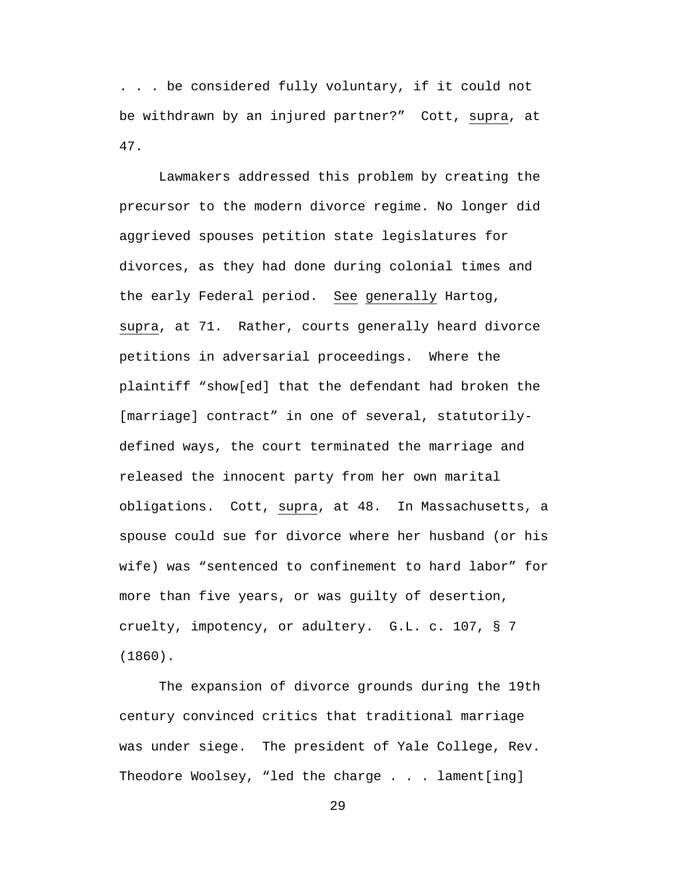. . . be considered fully voluntary, if it could not be withdrawn by an injured partner?" Cott, supra, at 47.

Lawmakers addressed this problem by creating the precursor to the modern divorce regime. No longer did aggrieved spouses petition state legislatures for divorces, as they had done during colonial times and the early Federal period. See generally Hartog, supra, at 71. Rather, courts generally heard divorce petitions in adversarial proceedings. Where the plaintiff "show[ed] that the defendant had broken the [marriage] contract" in one of several, statutorilydefined ways, the court terminated the marriage and released the innocent party from her own marital obligations. Cott, supra, at 48. In Massachusetts, a spouse could sue for divorce where her husband (or his wife) was "sentenced to confinement to hard labor" for more than five years, or was guilty of desertion, cruelty, impotency, or adultery. G.L. c. 107, § 7 (1860).

The expansion of divorce grounds during the 19th century convinced critics that traditional marriage was under siege. The president of Yale College, Rev. Theodore Woolsey, "led the charge . . . lament[ing]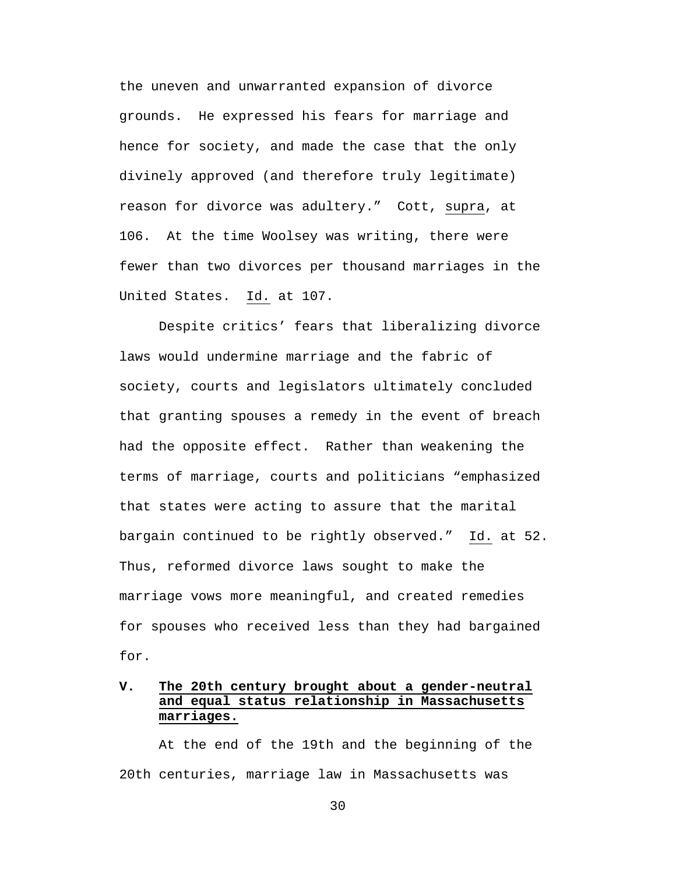the uneven and unwarranted expansion of divorce grounds. He expressed his fears for marriage and hence for society, and made the case that the only divinely approved (and therefore truly legitimate) reason for divorce was adultery." Cott, supra, at 106. At the time Woolsey was writing, there were fewer than two divorces per thousand marriages in the United States. Id. at 107.

Despite critics' fears that liberalizing divorce laws would undermine marriage and the fabric of society, courts and legislators ultimately concluded that granting spouses a remedy in the event of breach had the opposite effect. Rather than weakening the terms of marriage, courts and politicians "emphasized that states were acting to assure that the marital bargain continued to be rightly observed." Id. at 52. Thus, reformed divorce laws sought to make the marriage vows more meaningful, and created remedies for spouses who received less than they had bargained for.

# **V. The 20th century brought about a gender-neutral and equal status relationship in Massachusetts marriages.**

At the end of the 19th and the beginning of the 20th centuries, marriage law in Massachusetts was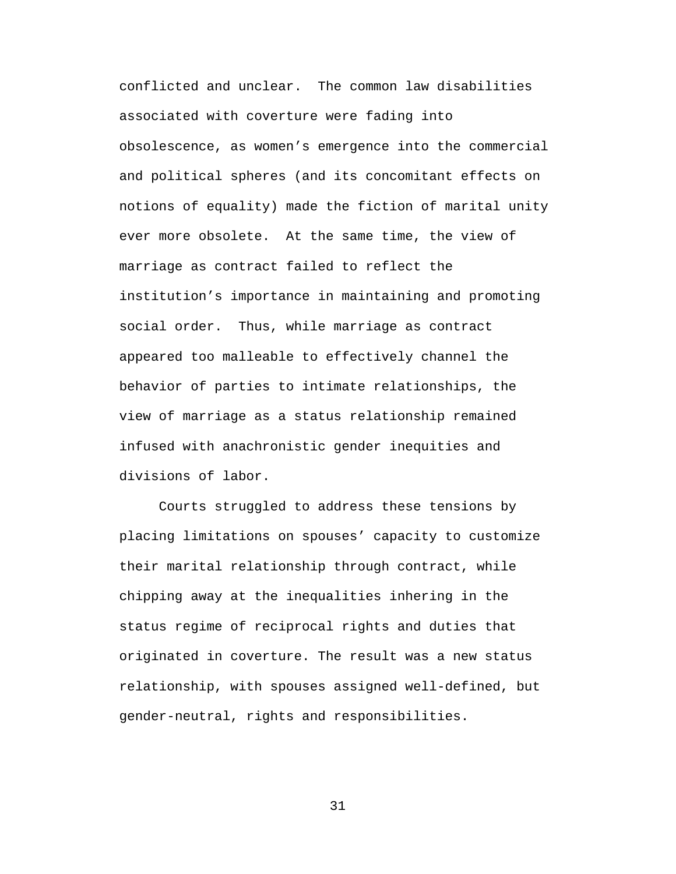conflicted and unclear. The common law disabilities associated with coverture were fading into obsolescence, as women's emergence into the commercial and political spheres (and its concomitant effects on notions of equality) made the fiction of marital unity ever more obsolete. At the same time, the view of marriage as contract failed to reflect the institution's importance in maintaining and promoting social order. Thus, while marriage as contract appeared too malleable to effectively channel the behavior of parties to intimate relationships, the view of marriage as a status relationship remained infused with anachronistic gender inequities and divisions of labor.

Courts struggled to address these tensions by placing limitations on spouses' capacity to customize their marital relationship through contract, while chipping away at the inequalities inhering in the status regime of reciprocal rights and duties that originated in coverture. The result was a new status relationship, with spouses assigned well-defined, but gender-neutral, rights and responsibilities.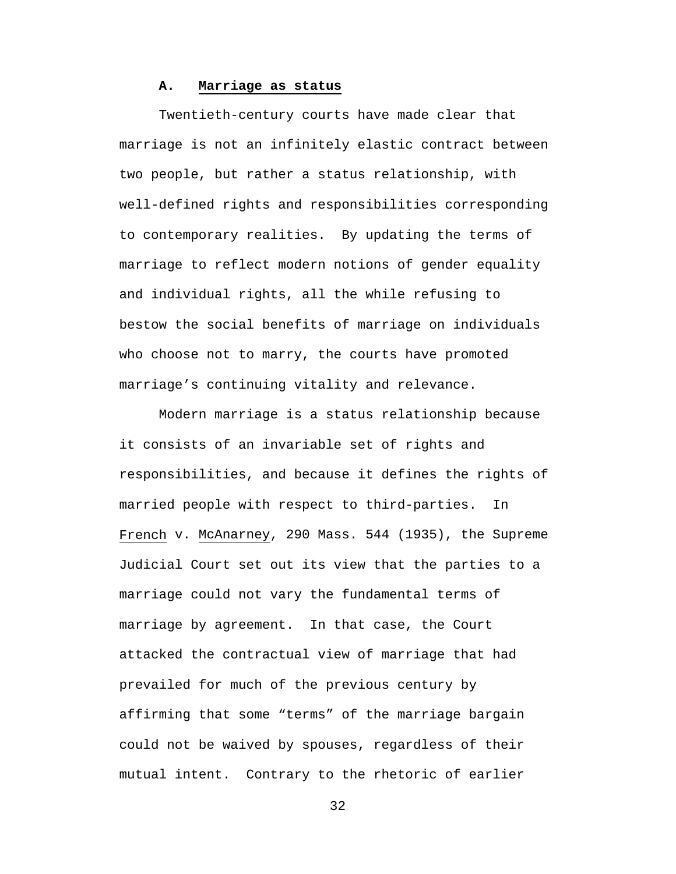## **A. Marriage as status**

Twentieth-century courts have made clear that marriage is not an infinitely elastic contract between two people, but rather a status relationship, with well-defined rights and responsibilities corresponding to contemporary realities. By updating the terms of marriage to reflect modern notions of gender equality and individual rights, all the while refusing to bestow the social benefits of marriage on individuals who choose not to marry, the courts have promoted marriage's continuing vitality and relevance.

Modern marriage is a status relationship because it consists of an invariable set of rights and responsibilities, and because it defines the rights of married people with respect to third-parties. In French v. McAnarney, 290 Mass. 544 (1935), the Supreme Judicial Court set out its view that the parties to a marriage could not vary the fundamental terms of marriage by agreement. In that case, the Court attacked the contractual view of marriage that had prevailed for much of the previous century by affirming that some "terms" of the marriage bargain could not be waived by spouses, regardless of their mutual intent. Contrary to the rhetoric of earlier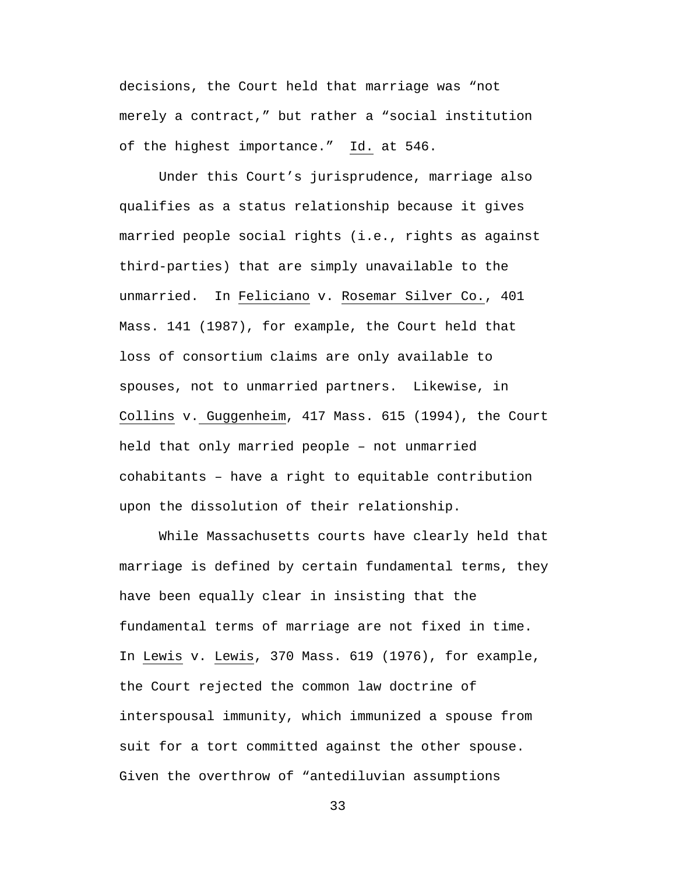decisions, the Court held that marriage was "not merely a contract," but rather a "social institution of the highest importance." Id. at 546.

Under this Court's jurisprudence, marriage also qualifies as a status relationship because it gives married people social rights (i.e., rights as against third-parties) that are simply unavailable to the unmarried. In Feliciano v. Rosemar Silver Co., 401 Mass. 141 (1987), for example, the Court held that loss of consortium claims are only available to spouses, not to unmarried partners. Likewise, in Collins v. Guggenheim, 417 Mass. 615 (1994), the Court held that only married people – not unmarried cohabitants – have a right to equitable contribution upon the dissolution of their relationship.

While Massachusetts courts have clearly held that marriage is defined by certain fundamental terms, they have been equally clear in insisting that the fundamental terms of marriage are not fixed in time. In Lewis v. Lewis, 370 Mass. 619 (1976), for example, the Court rejected the common law doctrine of interspousal immunity, which immunized a spouse from suit for a tort committed against the other spouse. Given the overthrow of "antediluvian assumptions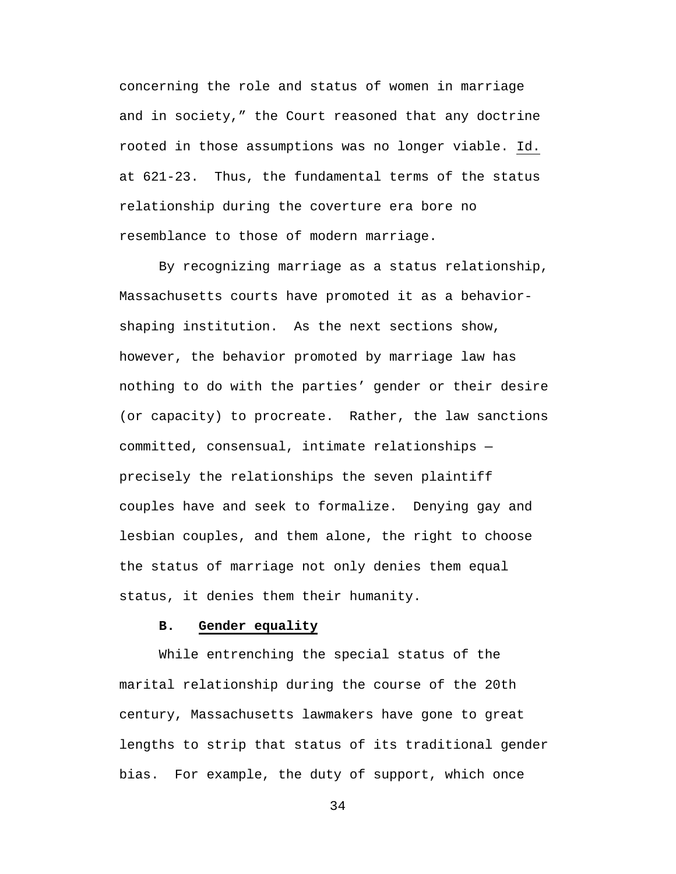concerning the role and status of women in marriage and in society," the Court reasoned that any doctrine rooted in those assumptions was no longer viable. Id. at 621-23. Thus, the fundamental terms of the status relationship during the coverture era bore no resemblance to those of modern marriage.

By recognizing marriage as a status relationship, Massachusetts courts have promoted it as a behaviorshaping institution. As the next sections show, however, the behavior promoted by marriage law has nothing to do with the parties' gender or their desire (or capacity) to procreate. Rather, the law sanctions committed, consensual, intimate relationships precisely the relationships the seven plaintiff couples have and seek to formalize. Denying gay and lesbian couples, and them alone, the right to choose the status of marriage not only denies them equal status, it denies them their humanity.

#### **B. Gender equality**

While entrenching the special status of the marital relationship during the course of the 20th century, Massachusetts lawmakers have gone to great lengths to strip that status of its traditional gender bias. For example, the duty of support, which once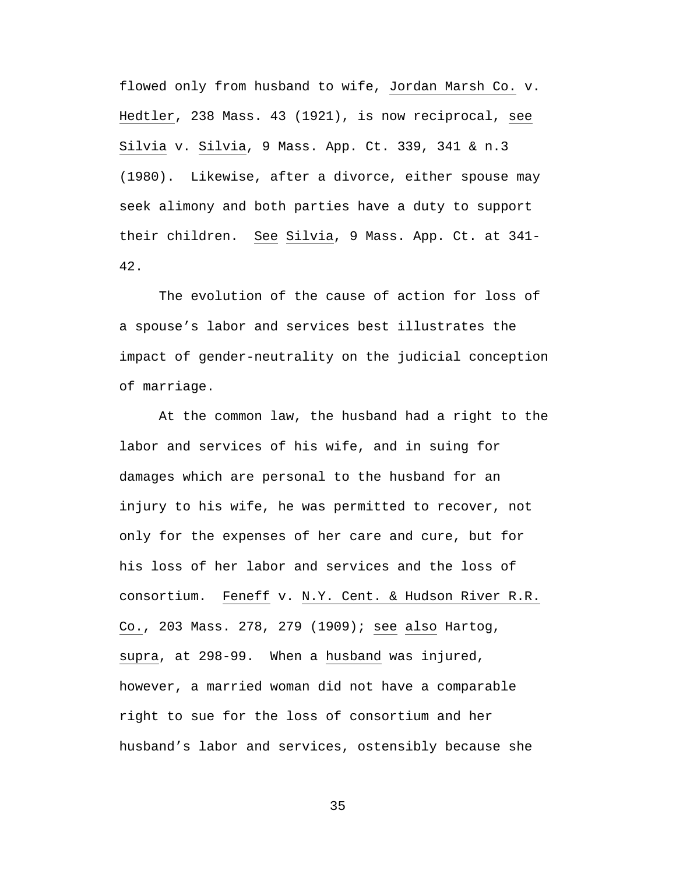flowed only from husband to wife, Jordan Marsh Co. v. Hedtler, 238 Mass. 43 (1921), is now reciprocal, see Silvia v. Silvia, 9 Mass. App. Ct. 339, 341 & n.3 (1980). Likewise, after a divorce, either spouse may seek alimony and both parties have a duty to support their children. See Silvia, 9 Mass. App. Ct. at 341- 42.

The evolution of the cause of action for loss of a spouse's labor and services best illustrates the impact of gender-neutrality on the judicial conception of marriage.

At the common law, the husband had a right to the labor and services of his wife, and in suing for damages which are personal to the husband for an injury to his wife, he was permitted to recover, not only for the expenses of her care and cure, but for his loss of her labor and services and the loss of consortium. Feneff v. N.Y. Cent. & Hudson River R.R. Co., 203 Mass. 278, 279 (1909); see also Hartog, supra, at 298-99. When a husband was injured, however, a married woman did not have a comparable right to sue for the loss of consortium and her husband's labor and services, ostensibly because she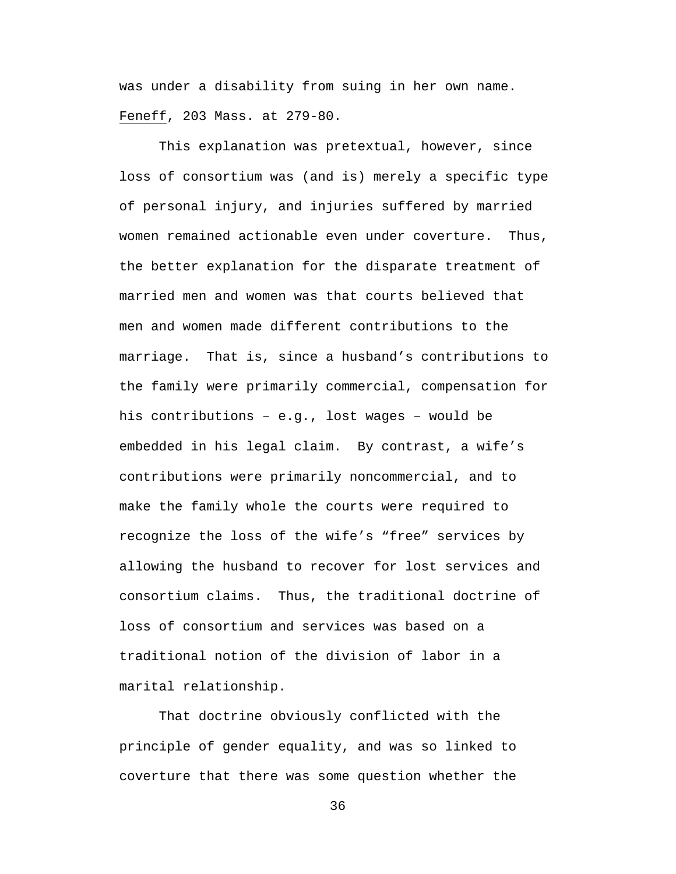was under a disability from suing in her own name. Feneff, 203 Mass. at 279-80.

This explanation was pretextual, however, since loss of consortium was (and is) merely a specific type of personal injury, and injuries suffered by married women remained actionable even under coverture. Thus, the better explanation for the disparate treatment of married men and women was that courts believed that men and women made different contributions to the marriage. That is, since a husband's contributions to the family were primarily commercial, compensation for his contributions – e.g., lost wages – would be embedded in his legal claim. By contrast, a wife's contributions were primarily noncommercial, and to make the family whole the courts were required to recognize the loss of the wife's "free" services by allowing the husband to recover for lost services and consortium claims. Thus, the traditional doctrine of loss of consortium and services was based on a traditional notion of the division of labor in a marital relationship.

That doctrine obviously conflicted with the principle of gender equality, and was so linked to coverture that there was some question whether the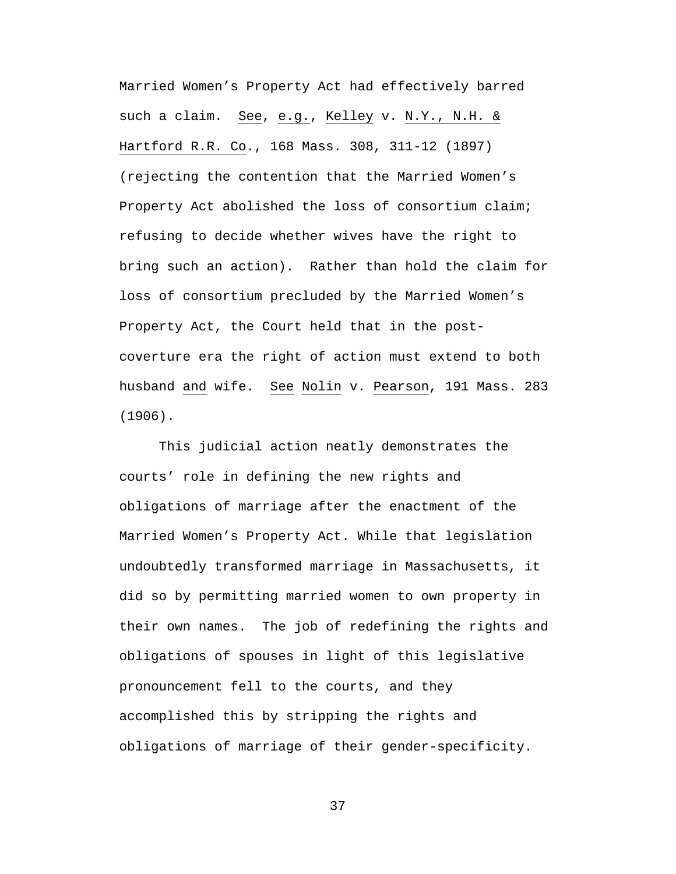Married Women's Property Act had effectively barred such a claim. See, e.g., Kelley v. N.Y., N.H. & Hartford R.R. Co., 168 Mass. 308, 311-12 (1897) (rejecting the contention that the Married Women's Property Act abolished the loss of consortium claim; refusing to decide whether wives have the right to bring such an action). Rather than hold the claim for loss of consortium precluded by the Married Women's Property Act, the Court held that in the postcoverture era the right of action must extend to both husband and wife. See Nolin v. Pearson, 191 Mass. 283 (1906).

This judicial action neatly demonstrates the courts' role in defining the new rights and obligations of marriage after the enactment of the Married Women's Property Act. While that legislation undoubtedly transformed marriage in Massachusetts, it did so by permitting married women to own property in their own names. The job of redefining the rights and obligations of spouses in light of this legislative pronouncement fell to the courts, and they accomplished this by stripping the rights and obligations of marriage of their gender-specificity.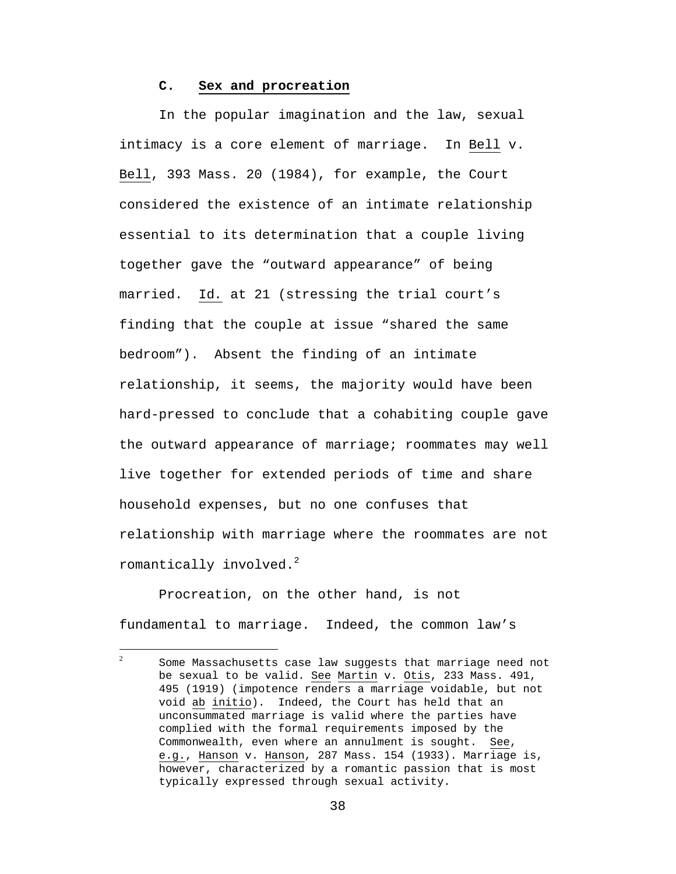#### **C. Sex and procreation**

In the popular imagination and the law, sexual intimacy is a core element of marriage. In Bell v. Bell, 393 Mass. 20 (1984), for example, the Court considered the existence of an intimate relationship essential to its determination that a couple living together gave the "outward appearance" of being married. Id*.* at 21 (stressing the trial court's finding that the couple at issue "shared the same bedroom"). Absent the finding of an intimate relationship, it seems, the majority would have been hard-pressed to conclude that a cohabiting couple gave the outward appearance of marriage; roommates may well live together for extended periods of time and share household expenses, but no one confuses that relationship with marriage where the roommates are not romantically involved. $^{2}$ 

 Procreation, on the other hand, is not fundamental to marriage. Indeed, the common law's

 $\frac{1}{2}$ Some Massachusetts case law suggests that marriage need not be sexual to be valid. See Martin v. Otis, 233 Mass. 491, 495 (1919) (impotence renders a marriage voidable, but not void ab initio). Indeed, the Court has held that an unconsummated marriage is valid where the parties have complied with the formal requirements imposed by the Commonwealth, even where an annulment is sought. See, e.g., Hanson v. Hanson, 287 Mass. 154 (1933). Marriage is, however, characterized by a romantic passion that is most typically expressed through sexual activity.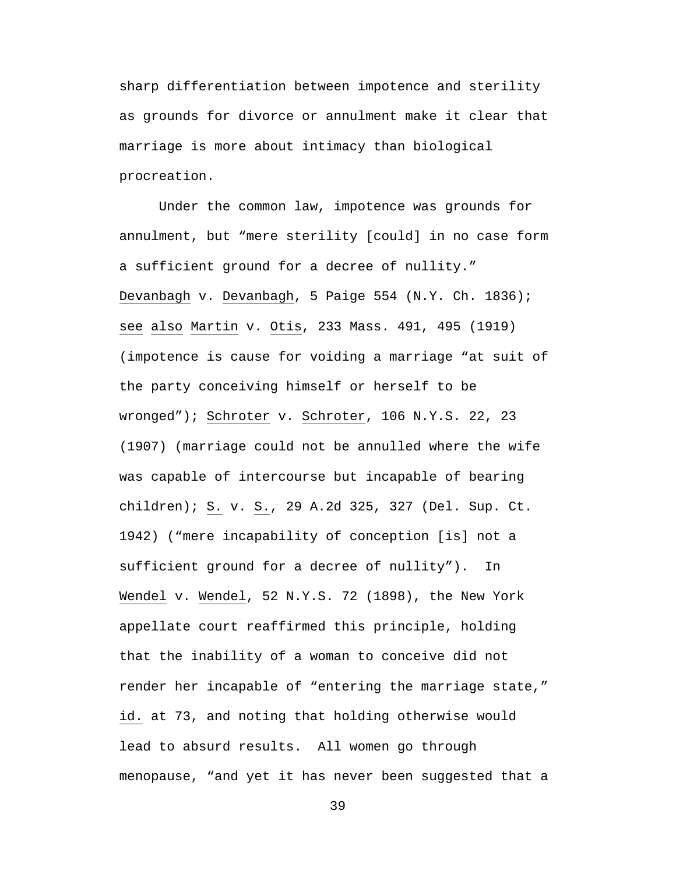sharp differentiation between impotence and sterility as grounds for divorce or annulment make it clear that marriage is more about intimacy than biological procreation.

Under the common law, impotence was grounds for annulment, but "mere sterility [could] in no case form a sufficient ground for a decree of nullity." Devanbagh v. Devanbagh, 5 Paige 554 (N.Y. Ch. 1836); see also Martin v. Otis, 233 Mass. 491, 495 (1919) (impotence is cause for voiding a marriage "at suit of the party conceiving himself or herself to be wronged"); Schroter v. Schroter, 106 N.Y.S. 22, 23 (1907) (marriage could not be annulled where the wife was capable of intercourse but incapable of bearing children); S. v. S., 29 A.2d 325, 327 (Del. Sup. Ct. 1942) ("mere incapability of conception [is] not a sufficient ground for a decree of nullity"). In Wendel v. Wendel, 52 N.Y.S. 72 (1898), the New York appellate court reaffirmed this principle, holding that the inability of a woman to conceive did not render her incapable of "entering the marriage state," id. at 73, and noting that holding otherwise would lead to absurd results. All women go through menopause, "and yet it has never been suggested that a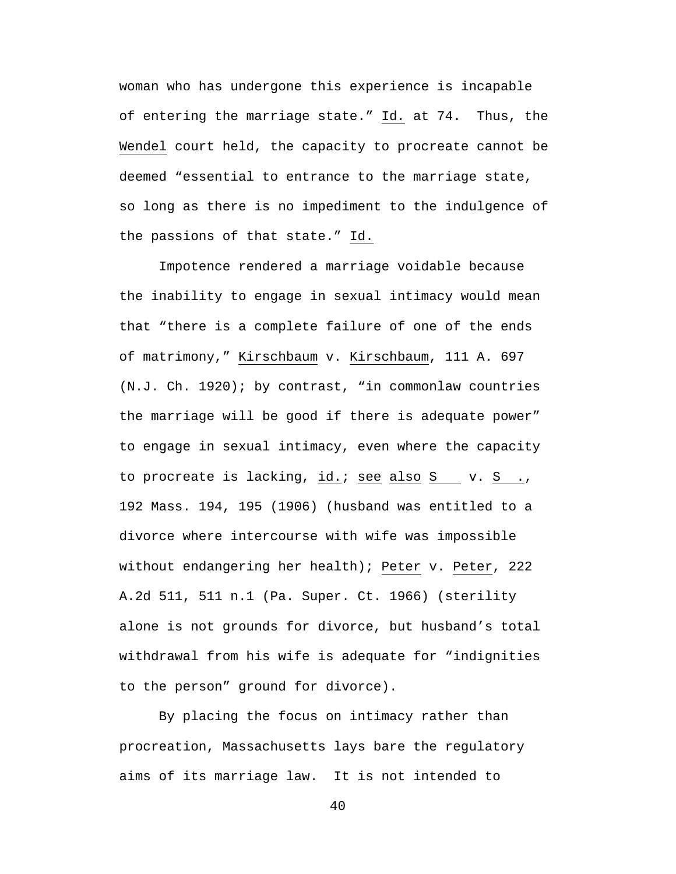woman who has undergone this experience is incapable of entering the marriage state." Id*.* at 74. Thus, the Wendel court held, the capacity to procreate cannot be deemed "essential to entrance to the marriage state, so long as there is no impediment to the indulgence of the passions of that state." Id.

Impotence rendered a marriage voidable because the inability to engage in sexual intimacy would mean that "there is a complete failure of one of the ends of matrimony," Kirschbaum v. Kirschbaum, 111 A. 697 (N.J. Ch. 1920); by contrast, "in commonlaw countries the marriage will be good if there is adequate power" to engage in sexual intimacy, even where the capacity to procreate is lacking, id.; see also  $S$  v.  $S$  ., 192 Mass. 194, 195 (1906) (husband was entitled to a divorce where intercourse with wife was impossible without endangering her health); Peter v. Peter, 222 A.2d 511, 511 n.1 (Pa. Super. Ct. 1966) (sterility alone is not grounds for divorce, but husband's total withdrawal from his wife is adequate for "indignities to the person" ground for divorce).

By placing the focus on intimacy rather than procreation, Massachusetts lays bare the regulatory aims of its marriage law. It is not intended to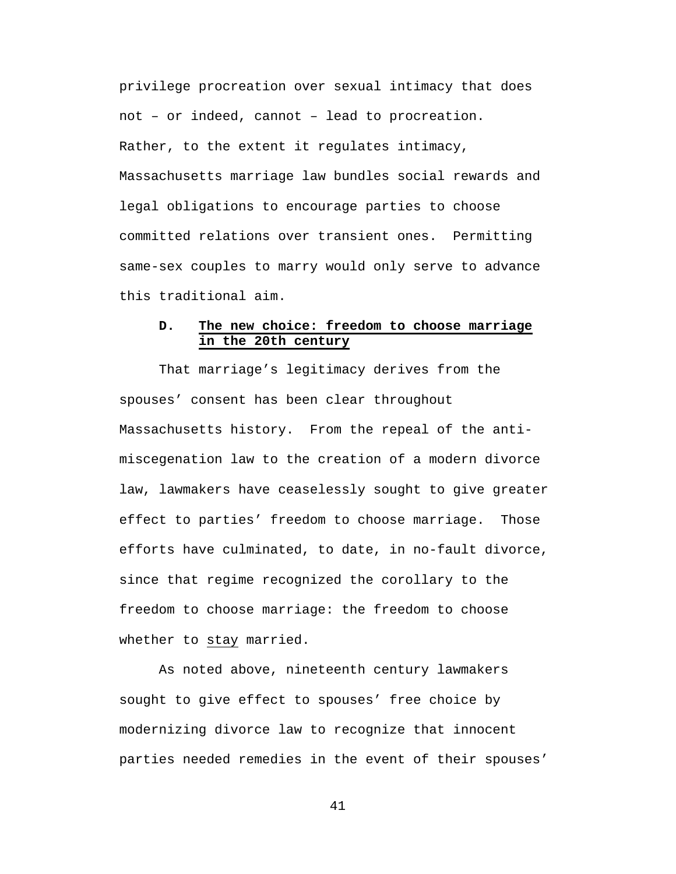privilege procreation over sexual intimacy that does not – or indeed, cannot – lead to procreation. Rather, to the extent it regulates intimacy, Massachusetts marriage law bundles social rewards and legal obligations to encourage parties to choose committed relations over transient ones. Permitting same-sex couples to marry would only serve to advance this traditional aim.

# **D. The new choice: freedom to choose marriage in the 20th century**

That marriage's legitimacy derives from the spouses' consent has been clear throughout Massachusetts history. From the repeal of the antimiscegenation law to the creation of a modern divorce law, lawmakers have ceaselessly sought to give greater effect to parties' freedom to choose marriage. Those efforts have culminated, to date, in no-fault divorce, since that regime recognized the corollary to the freedom to choose marriage: the freedom to choose whether to stay married.

As noted above, nineteenth century lawmakers sought to give effect to spouses' free choice by modernizing divorce law to recognize that innocent parties needed remedies in the event of their spouses'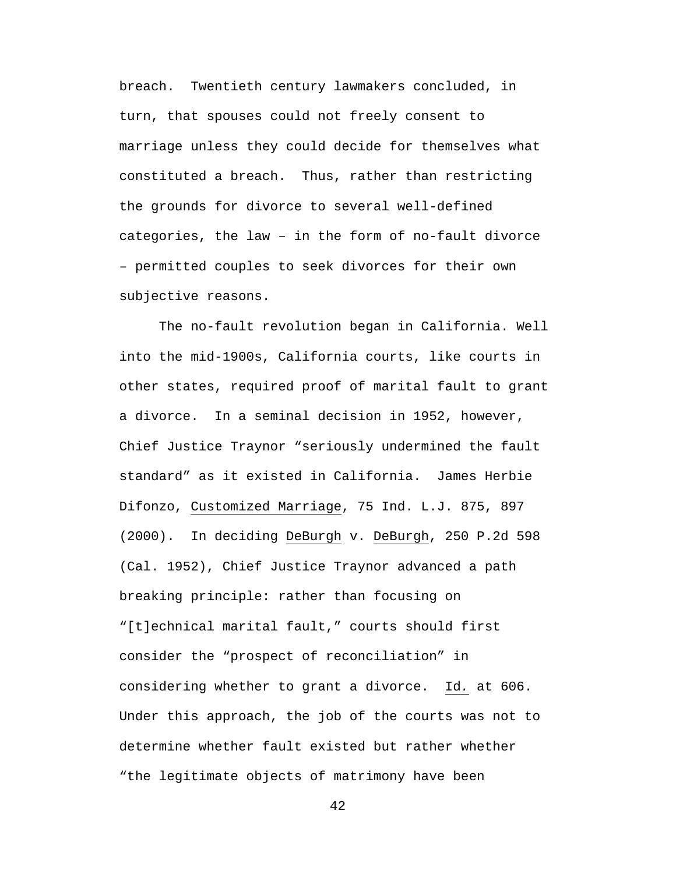breach. Twentieth century lawmakers concluded, in turn, that spouses could not freely consent to marriage unless they could decide for themselves what constituted a breach. Thus, rather than restricting the grounds for divorce to several well-defined categories, the law – in the form of no-fault divorce – permitted couples to seek divorces for their own subjective reasons.

 The no-fault revolution began in California. Well into the mid-1900s, California courts, like courts in other states, required proof of marital fault to grant a divorce. In a seminal decision in 1952, however, Chief Justice Traynor "seriously undermined the fault standard" as it existed in California. James Herbie Difonzo, Customized Marriage, 75 Ind. L.J. 875, 897 (2000). In deciding DeBurgh v. DeBurgh, 250 P.2d 598 (Cal. 1952), Chief Justice Traynor advanced a path breaking principle: rather than focusing on "[t]echnical marital fault," courts should first consider the "prospect of reconciliation" in considering whether to grant a divorce. Id*.* at 606. Under this approach, the job of the courts was not to determine whether fault existed but rather whether "the legitimate objects of matrimony have been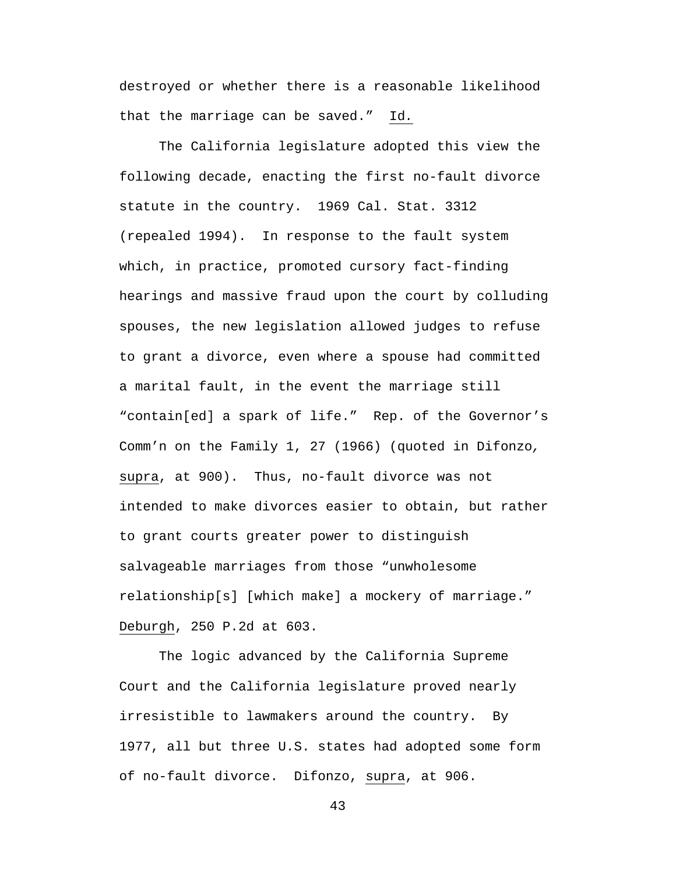destroyed or whether there is a reasonable likelihood that the marriage can be saved." Id*.*

The California legislature adopted this view the following decade, enacting the first no-fault divorce statute in the country. 1969 Cal. Stat. 3312 (repealed 1994). In response to the fault system which, in practice, promoted cursory fact-finding hearings and massive fraud upon the court by colluding spouses, the new legislation allowed judges to refuse to grant a divorce, even where a spouse had committed a marital fault, in the event the marriage still "contain[ed] a spark of life." Rep. of the Governor's Comm'n on the Family 1, 27 (1966) (quoted in Difonzo*,*  supra, at 900). Thus, no-fault divorce was not intended to make divorces easier to obtain, but rather to grant courts greater power to distinguish salvageable marriages from those "unwholesome relationship[s] [which make] a mockery of marriage." Deburgh, 250 P.2d at 603.

The logic advanced by the California Supreme Court and the California legislature proved nearly irresistible to lawmakers around the country. By 1977, all but three U.S. states had adopted some form of no-fault divorce. Difonzo, supra, at 906.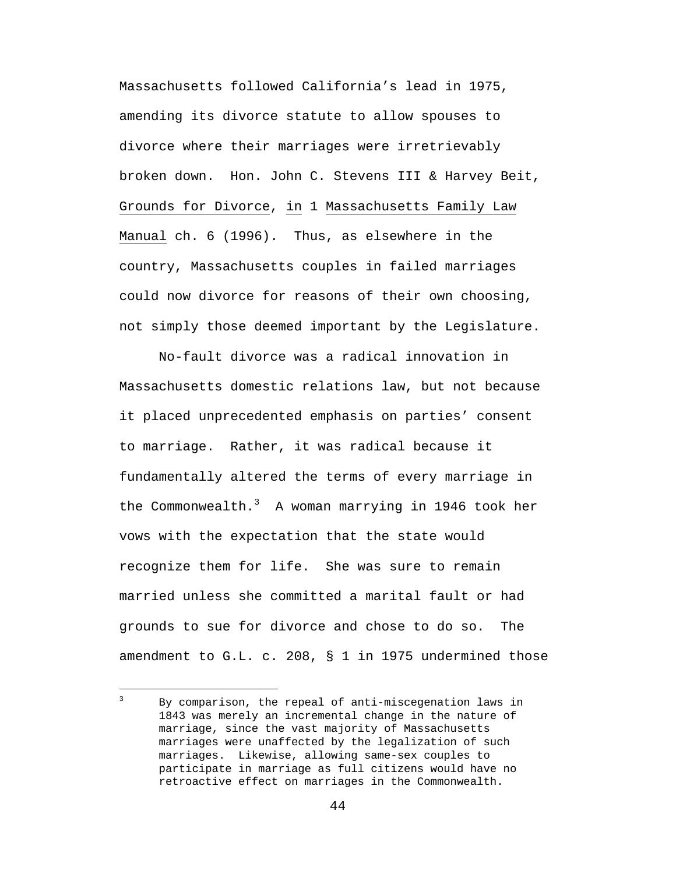Massachusetts followed California's lead in 1975, amending its divorce statute to allow spouses to divorce where their marriages were irretrievably broken down. Hon. John C. Stevens III & Harvey Beit, Grounds for Divorce, in 1 Massachusetts Family Law Manual ch. 6 (1996). Thus, as elsewhere in the country, Massachusetts couples in failed marriages could now divorce for reasons of their own choosing, not simply those deemed important by the Legislature.

No-fault divorce was a radical innovation in Massachusetts domestic relations law, but not because it placed unprecedented emphasis on parties' consent to marriage. Rather, it was radical because it fundamentally altered the terms of every marriage in the Commonwealth. $3\,$  A woman marrying in 1946 took her vows with the expectation that the state would recognize them for life. She was sure to remain married unless she committed a marital fault or had grounds to sue for divorce and chose to do so. The amendment to G.L. c. 208, § 1 in 1975 undermined those

By comparison, the repeal of anti-miscegenation laws in 1843 was merely an incremental change in the nature of marriage, since the vast majority of Massachusetts marriages were unaffected by the legalization of such marriages. Likewise, allowing same-sex couples to participate in marriage as full citizens would have no retroactive effect on marriages in the Commonwealth.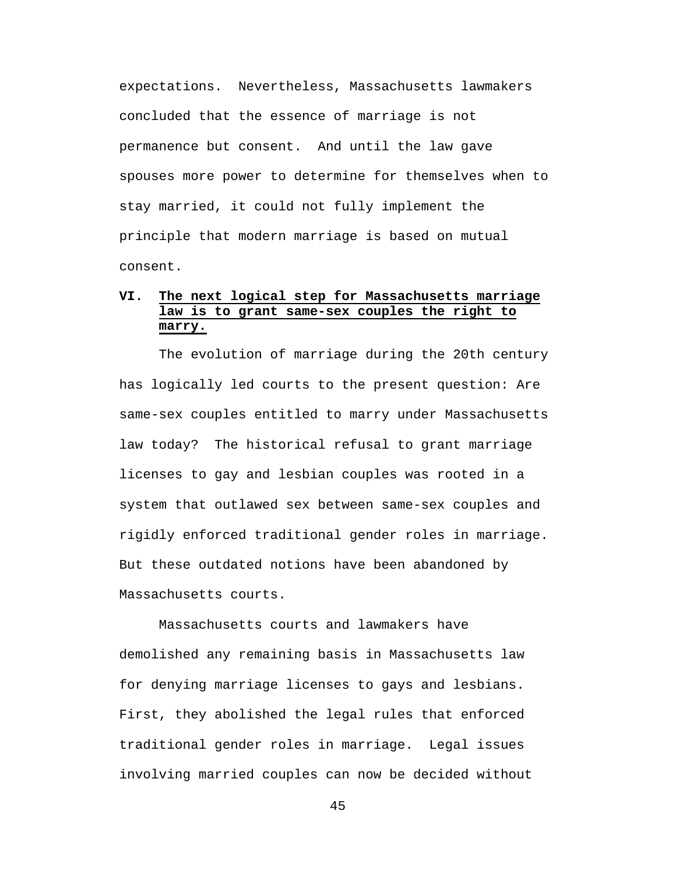expectations. Nevertheless, Massachusetts lawmakers concluded that the essence of marriage is not permanence but consent. And until the law gave spouses more power to determine for themselves when to stay married, it could not fully implement the principle that modern marriage is based on mutual consent.

# **VI. The next logical step for Massachusetts marriage law is to grant same-sex couples the right to marry.**

The evolution of marriage during the 20th century has logically led courts to the present question: Are same-sex couples entitled to marry under Massachusetts law today? The historical refusal to grant marriage licenses to gay and lesbian couples was rooted in a system that outlawed sex between same-sex couples and rigidly enforced traditional gender roles in marriage. But these outdated notions have been abandoned by Massachusetts courts.

Massachusetts courts and lawmakers have demolished any remaining basis in Massachusetts law for denying marriage licenses to gays and lesbians. First, they abolished the legal rules that enforced traditional gender roles in marriage. Legal issues involving married couples can now be decided without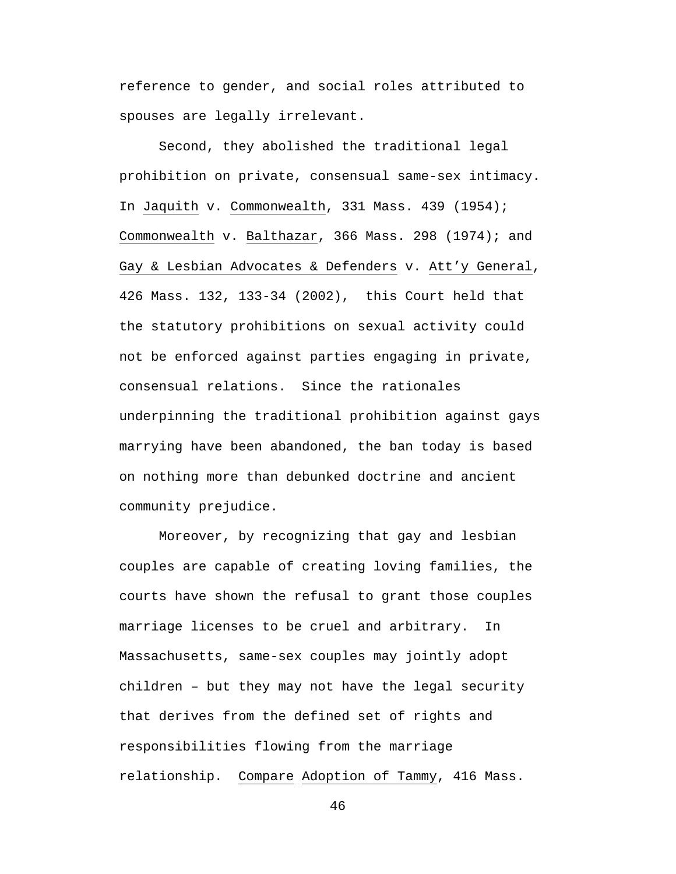reference to gender, and social roles attributed to spouses are legally irrelevant.

Second, they abolished the traditional legal prohibition on private, consensual same-sex intimacy. In Jaquith v. Commonwealth, 331 Mass. 439 (1954); Commonwealth v. Balthazar, 366 Mass. 298 (1974); and Gay & Lesbian Advocates & Defenders v. Att'y General, 426 Mass. 132, 133-34 (2002), this Court held that the statutory prohibitions on sexual activity could not be enforced against parties engaging in private, consensual relations. Since the rationales underpinning the traditional prohibition against gays marrying have been abandoned, the ban today is based on nothing more than debunked doctrine and ancient community prejudice.

Moreover, by recognizing that gay and lesbian couples are capable of creating loving families, the courts have shown the refusal to grant those couples marriage licenses to be cruel and arbitrary. In Massachusetts, same-sex couples may jointly adopt children – but they may not have the legal security that derives from the defined set of rights and responsibilities flowing from the marriage relationship. Compare Adoption of Tammy, 416 Mass.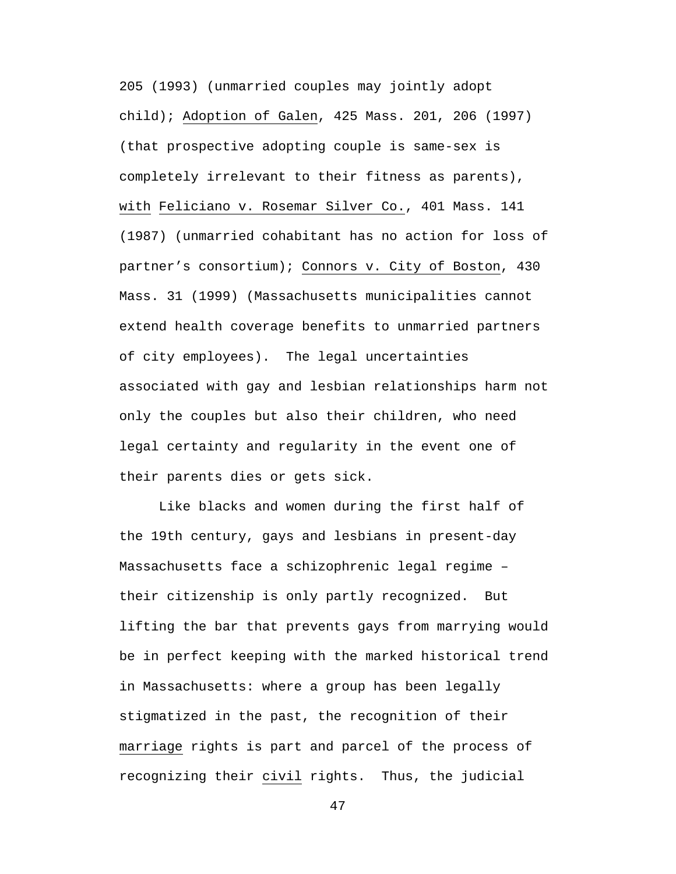205 (1993) (unmarried couples may jointly adopt child); Adoption of Galen, 425 Mass. 201, 206 (1997) (that prospective adopting couple is same-sex is completely irrelevant to their fitness as parents), with Feliciano v. Rosemar Silver Co., 401 Mass. 141 (1987) (unmarried cohabitant has no action for loss of partner's consortium); Connors v. City of Boston, 430 Mass. 31 (1999) (Massachusetts municipalities cannot extend health coverage benefits to unmarried partners of city employees). The legal uncertainties associated with gay and lesbian relationships harm not only the couples but also their children, who need legal certainty and regularity in the event one of their parents dies or gets sick.

Like blacks and women during the first half of the 19th century, gays and lesbians in present-day Massachusetts face a schizophrenic legal regime – their citizenship is only partly recognized. But lifting the bar that prevents gays from marrying would be in perfect keeping with the marked historical trend in Massachusetts: where a group has been legally stigmatized in the past, the recognition of their marriage rights is part and parcel of the process of recognizing their civil rights. Thus, the judicial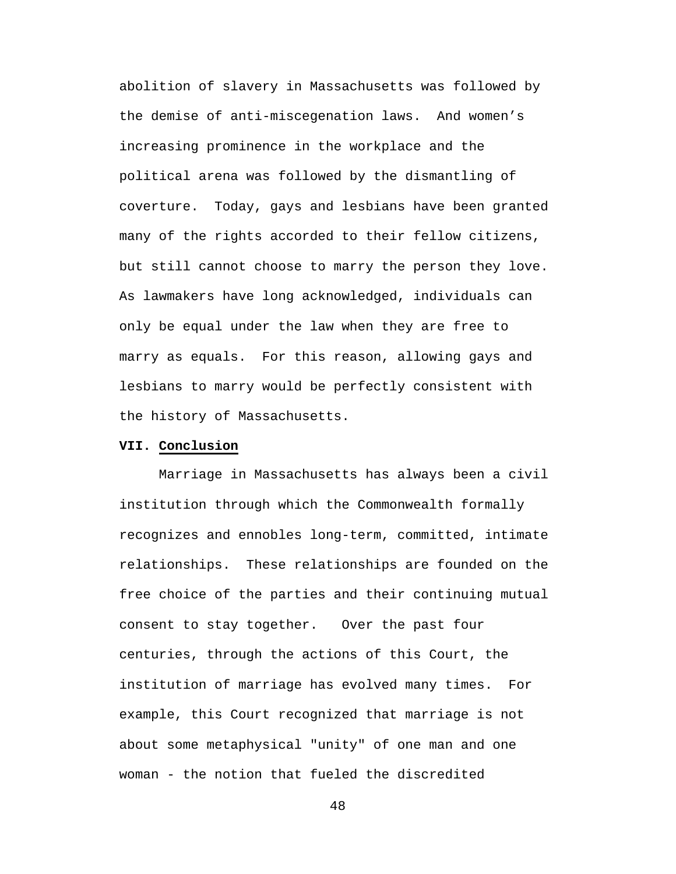abolition of slavery in Massachusetts was followed by the demise of anti-miscegenation laws. And women's increasing prominence in the workplace and the political arena was followed by the dismantling of coverture. Today, gays and lesbians have been granted many of the rights accorded to their fellow citizens, but still cannot choose to marry the person they love. As lawmakers have long acknowledged, individuals can only be equal under the law when they are free to marry as equals. For this reason, allowing gays and lesbians to marry would be perfectly consistent with the history of Massachusetts.

### **VII. Conclusion**

Marriage in Massachusetts has always been a civil institution through which the Commonwealth formally recognizes and ennobles long-term, committed, intimate relationships. These relationships are founded on the free choice of the parties and their continuing mutual consent to stay together. Over the past four centuries, through the actions of this Court, the institution of marriage has evolved many times. For example, this Court recognized that marriage is not about some metaphysical "unity" of one man and one woman - the notion that fueled the discredited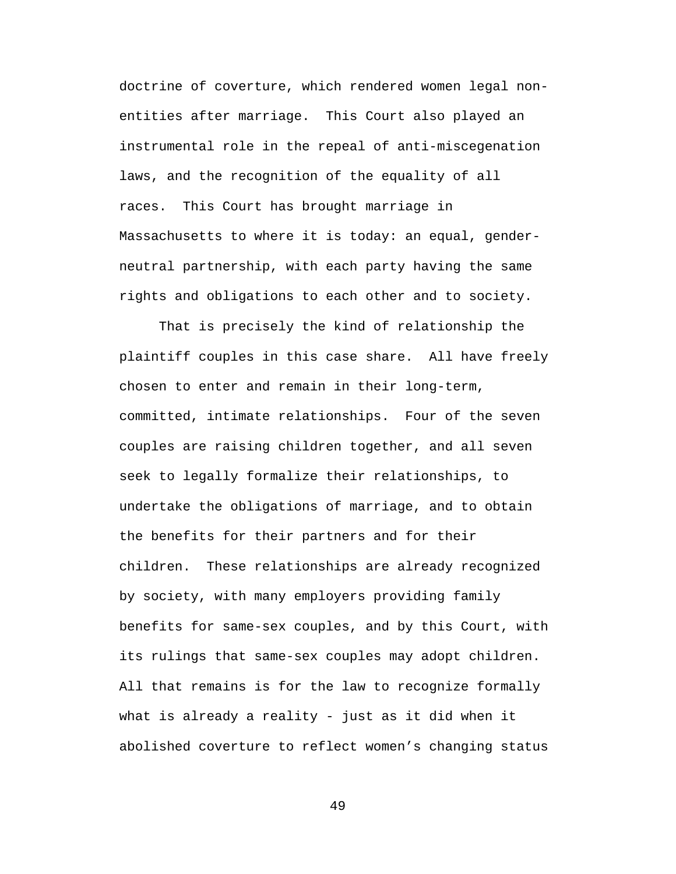doctrine of coverture, which rendered women legal nonentities after marriage. This Court also played an instrumental role in the repeal of anti-miscegenation laws, and the recognition of the equality of all races. This Court has brought marriage in Massachusetts to where it is today: an equal, genderneutral partnership, with each party having the same rights and obligations to each other and to society.

That is precisely the kind of relationship the plaintiff couples in this case share. All have freely chosen to enter and remain in their long-term, committed, intimate relationships. Four of the seven couples are raising children together, and all seven seek to legally formalize their relationships, to undertake the obligations of marriage, and to obtain the benefits for their partners and for their children. These relationships are already recognized by society, with many employers providing family benefits for same-sex couples, and by this Court, with its rulings that same-sex couples may adopt children. All that remains is for the law to recognize formally what is already a reality - just as it did when it abolished coverture to reflect women's changing status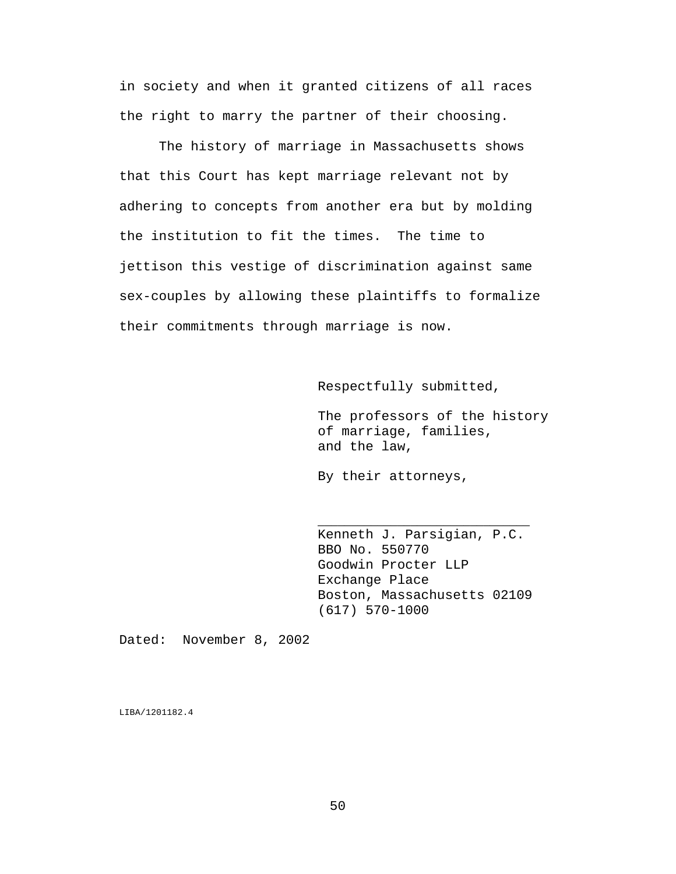in society and when it granted citizens of all races the right to marry the partner of their choosing.

The history of marriage in Massachusetts shows that this Court has kept marriage relevant not by adhering to concepts from another era but by molding the institution to fit the times. The time to jettison this vestige of discrimination against same sex-couples by allowing these plaintiffs to formalize their commitments through marriage is now.

Respectfully submitted,

The professors of the history of marriage, families, and the law,

By their attorneys,

Kenneth J. Parsigian, P.C. BBO No. 550770 Goodwin Procter LLP Exchange Place Boston, Massachusetts 02109 (617) 570-1000

\_\_\_\_\_\_\_\_\_\_\_\_\_\_\_\_\_\_\_\_\_\_\_\_\_\_\_\_\_\_\_\_

Dated: November 8, 2002

LIBA/1201182.4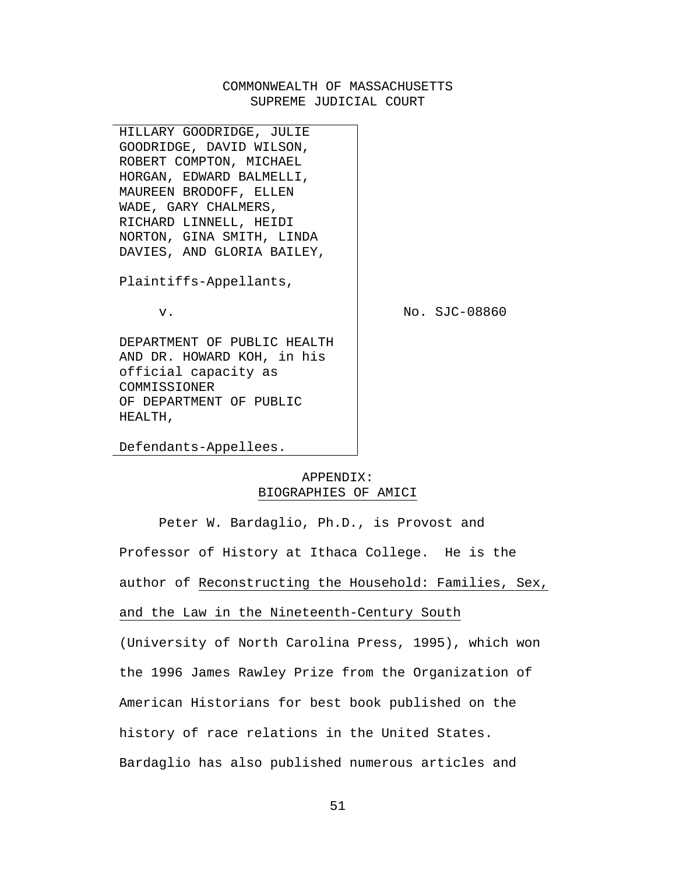## COMMONWEALTH OF MASSACHUSETTS SUPREME JUDICIAL COURT

HILLARY GOODRIDGE, JULIE GOODRIDGE, DAVID WILSON, ROBERT COMPTON, MICHAEL HORGAN, EDWARD BALMELLI, MAUREEN BRODOFF, ELLEN WADE, GARY CHALMERS, RICHARD LINNELL, HEIDI NORTON, GINA SMITH, LINDA DAVIES, AND GLORIA BAILEY, Plaintiffs-Appellants, v. DEPARTMENT OF PUBLIC HEALTH AND DR. HOWARD KOH, in his official capacity as COMMISSIONER OF DEPARTMENT OF PUBLIC No. SJC-08860

Defendants-Appellees.

HEALTH,

## APPENDIX: BIOGRAPHIES OF AMICI

Peter W. Bardaglio, Ph.D., is Provost and Professor of History at Ithaca College. He is the author of Reconstructing the Household: Families, Sex, and the Law in the Nineteenth-Century South

(University of North Carolina Press, 1995), which won the 1996 James Rawley Prize from the Organization of American Historians for best book published on the history of race relations in the United States. Bardaglio has also published numerous articles and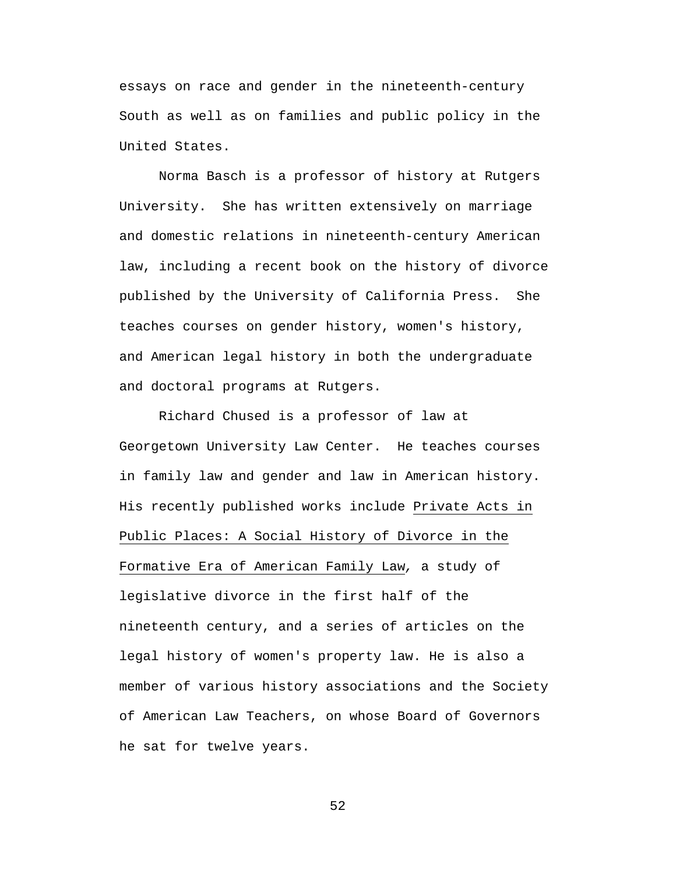essays on race and gender in the nineteenth-century South as well as on families and public policy in the United States.

Norma Basch is a professor of history at Rutgers University. She has written extensively on marriage and domestic relations in nineteenth-century American law, including a recent book on the history of divorce published by the University of California Press. She teaches courses on gender history, women's history, and American legal history in both the undergraduate and doctoral programs at Rutgers.

Richard Chused is a professor of law at Georgetown University Law Center. He teaches courses in family law and gender and law in American history. His recently published works include Private Acts in Public Places: A Social History of Divorce in the Formative Era of American Family Law*,* a study of legislative divorce in the first half of the nineteenth century, and a series of articles on the legal history of women's property law. He is also a member of various history associations and the Society of American Law Teachers, on whose Board of Governors he sat for twelve years.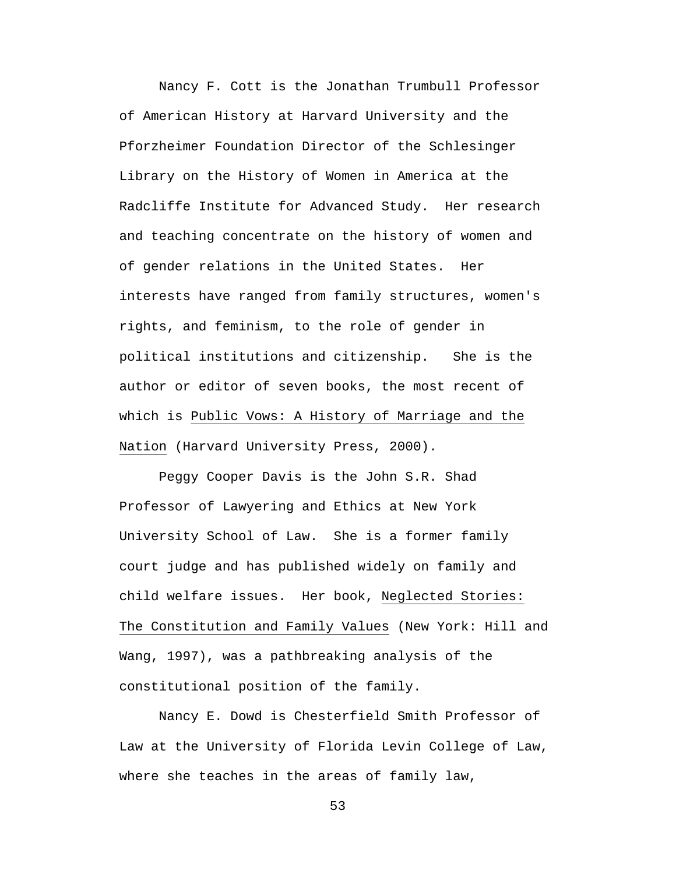Nancy F. Cott is the Jonathan Trumbull Professor of American History at Harvard University and the Pforzheimer Foundation Director of the Schlesinger Library on the History of Women in America at the Radcliffe Institute for Advanced Study. Her research and teaching concentrate on the history of women and of gender relations in the United States. Her interests have ranged from family structures, women's rights, and feminism, to the role of gender in political institutions and citizenship. She is the author or editor of seven books, the most recent of which is Public Vows: A History of Marriage and the Nation (Harvard University Press, 2000).

Peggy Cooper Davis is the John S.R. Shad Professor of Lawyering and Ethics at New York University School of Law. She is a former family court judge and has published widely on family and child welfare issues. Her book, Neglected Stories: The Constitution and Family Values (New York: Hill and Wang, 1997), was a pathbreaking analysis of the constitutional position of the family.

Nancy E. Dowd is Chesterfield Smith Professor of Law at the University of Florida Levin College of Law, where she teaches in the areas of family law,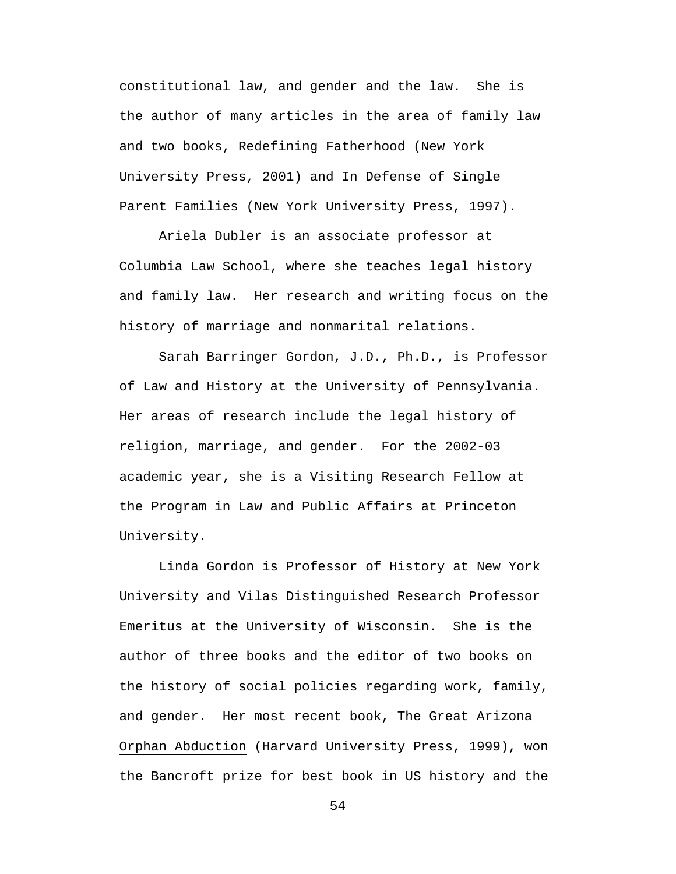constitutional law, and gender and the law. She is the author of many articles in the area of family law and two books, Redefining Fatherhood (New York University Press, 2001) and In Defense of Single Parent Families (New York University Press, 1997).

Ariela Dubler is an associate professor at Columbia Law School, where she teaches legal history and family law. Her research and writing focus on the history of marriage and nonmarital relations.

Sarah Barringer Gordon, J.D., Ph.D., is Professor of Law and History at the University of Pennsylvania. Her areas of research include the legal history of religion, marriage, and gender. For the 2002-03 academic year, she is a Visiting Research Fellow at the Program in Law and Public Affairs at Princeton University.

Linda Gordon is Professor of History at New York University and Vilas Distinguished Research Professor Emeritus at the University of Wisconsin. She is the author of three books and the editor of two books on the history of social policies regarding work, family, and gender. Her most recent book, The Great Arizona Orphan Abduction (Harvard University Press, 1999), won the Bancroft prize for best book in US history and the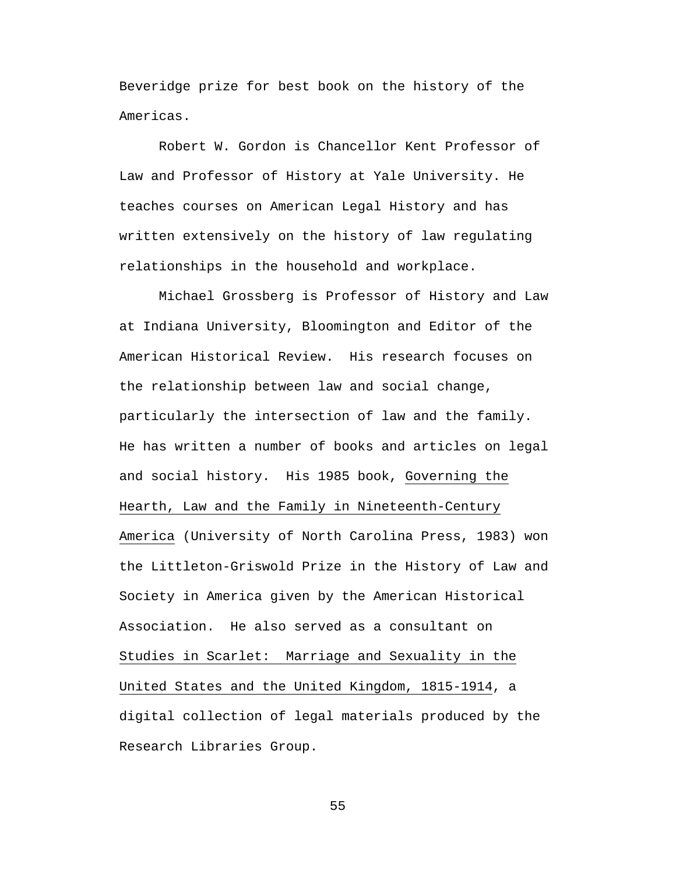Beveridge prize for best book on the history of the Americas.

Robert W. Gordon is Chancellor Kent Professor of Law and Professor of History at Yale University. He teaches courses on American Legal History and has written extensively on the history of law regulating relationships in the household and workplace.

Michael Grossberg is Professor of History and Law at Indiana University, Bloomington and Editor of the American Historical Review. His research focuses on the relationship between law and social change, particularly the intersection of law and the family. He has written a number of books and articles on legal and social history. His 1985 book, Governing the Hearth, Law and the Family in Nineteenth-Century America (University of North Carolina Press, 1983) won the Littleton-Griswold Prize in the History of Law and Society in America given by the American Historical Association. He also served as a consultant on Studies in Scarlet: Marriage and Sexuality in the United States and the United Kingdom, 1815-1914, a digital collection of legal materials produced by the Research Libraries Group.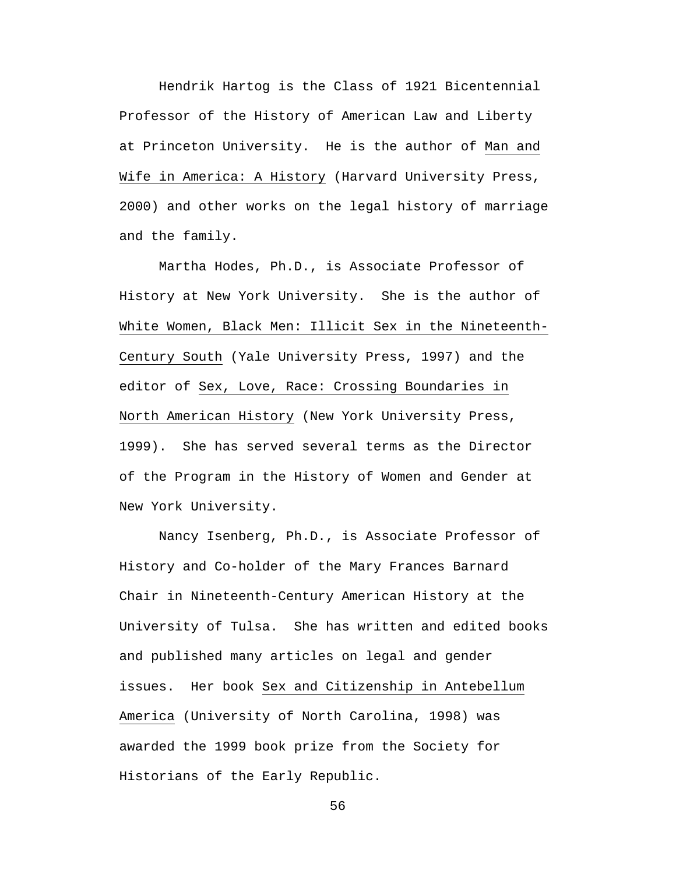Hendrik Hartog is the Class of 1921 Bicentennial Professor of the History of American Law and Liberty at Princeton University. He is the author of Man and Wife in America: A History (Harvard University Press, 2000) and other works on the legal history of marriage and the family.

Martha Hodes, Ph.D., is Associate Professor of History at New York University. She is the author of White Women, Black Men: Illicit Sex in the Nineteenth-Century South (Yale University Press, 1997) and the editor of Sex, Love, Race: Crossing Boundaries in North American History (New York University Press, 1999). She has served several terms as the Director of the Program in the History of Women and Gender at New York University.

Nancy Isenberg, Ph.D., is Associate Professor of History and Co-holder of the Mary Frances Barnard Chair in Nineteenth-Century American History at the University of Tulsa. She has written and edited books and published many articles on legal and gender issues. Her book Sex and Citizenship in Antebellum America (University of North Carolina, 1998) was awarded the 1999 book prize from the Society for Historians of the Early Republic.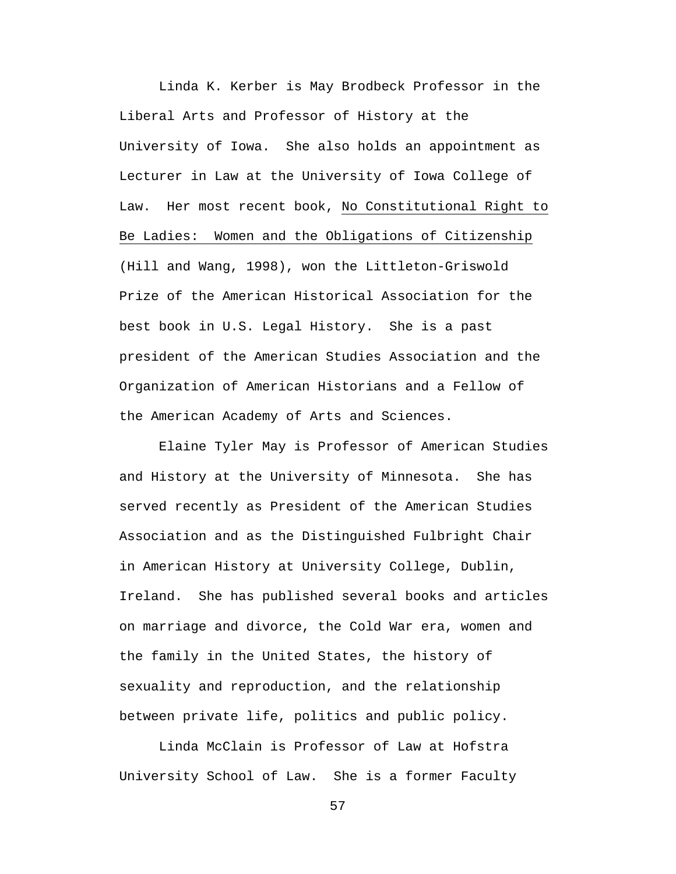Linda K. Kerber is May Brodbeck Professor in the Liberal Arts and Professor of History at the University of Iowa. She also holds an appointment as Lecturer in Law at the University of Iowa College of Law. Her most recent book, No Constitutional Right to Be Ladies: Women and the Obligations of Citizenship (Hill and Wang, 1998), won the Littleton-Griswold Prize of the American Historical Association for the best book in U.S. Legal History. She is a past president of the American Studies Association and the Organization of American Historians and a Fellow of the American Academy of Arts and Sciences.

Elaine Tyler May is Professor of American Studies and History at the University of Minnesota. She has served recently as President of the American Studies Association and as the Distinguished Fulbright Chair in American History at University College, Dublin, Ireland. She has published several books and articles on marriage and divorce, the Cold War era, women and the family in the United States, the history of sexuality and reproduction, and the relationship between private life, politics and public policy.

Linda McClain is Professor of Law at Hofstra University School of Law. She is a former Faculty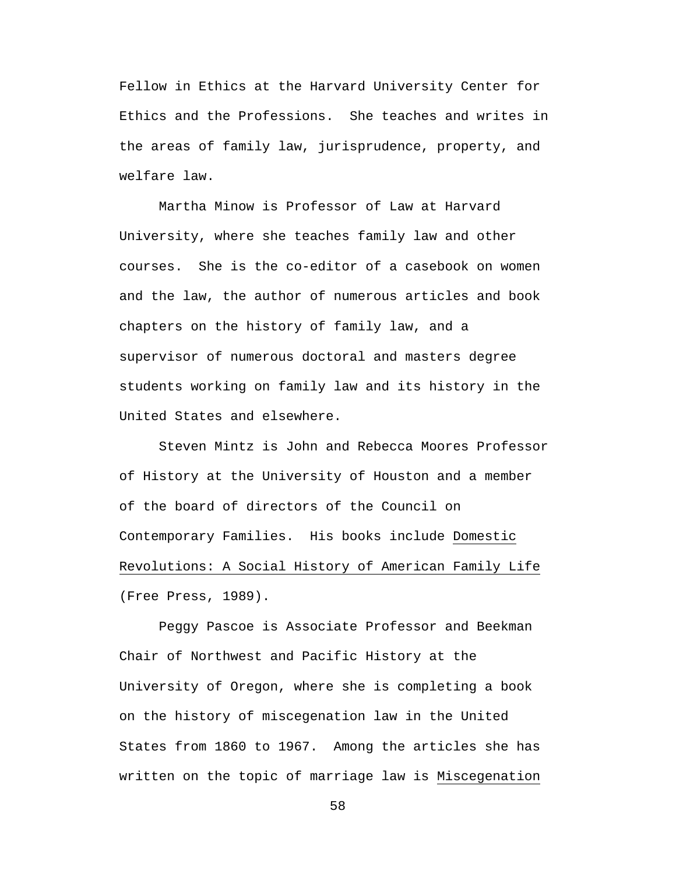Fellow in Ethics at the Harvard University Center for Ethics and the Professions. She teaches and writes in the areas of family law, jurisprudence, property, and welfare law.

Martha Minow is Professor of Law at Harvard University, where she teaches family law and other courses. She is the co-editor of a casebook on women and the law, the author of numerous articles and book chapters on the history of family law, and a supervisor of numerous doctoral and masters degree students working on family law and its history in the United States and elsewhere.

Steven Mintz is John and Rebecca Moores Professor of History at the University of Houston and a member of the board of directors of the Council on Contemporary Families. His books include Domestic Revolutions: A Social History of American Family Life (Free Press, 1989).

Peggy Pascoe is Associate Professor and Beekman Chair of Northwest and Pacific History at the University of Oregon, where she is completing a book on the history of miscegenation law in the United States from 1860 to 1967. Among the articles she has written on the topic of marriage law is Miscegenation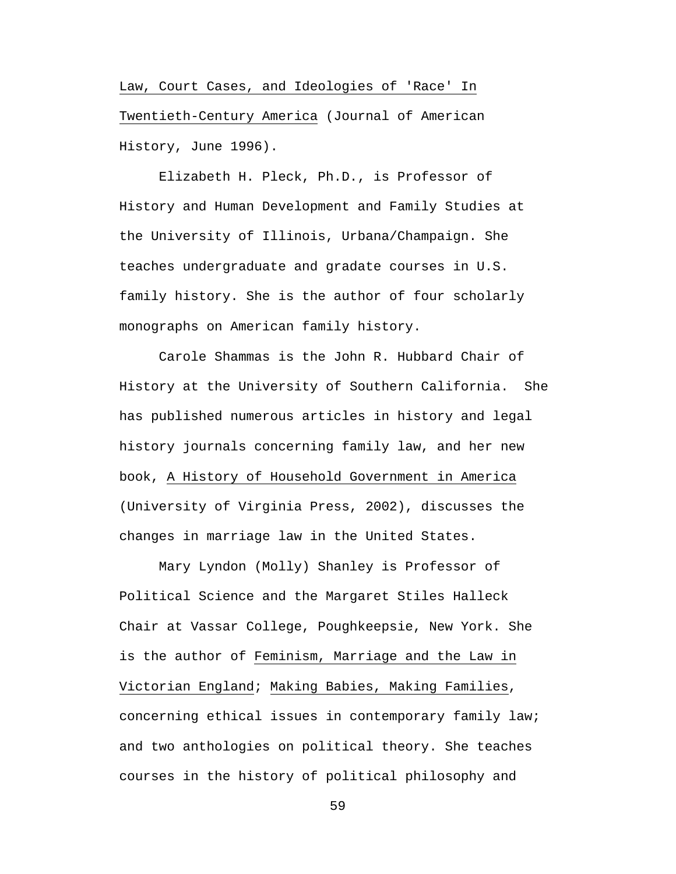Law, Court Cases, and Ideologies of 'Race' In Twentieth-Century America (Journal of American History, June 1996).

Elizabeth H. Pleck, Ph.D., is Professor of History and Human Development and Family Studies at the University of Illinois, Urbana/Champaign. She teaches undergraduate and gradate courses in U.S. family history. She is the author of four scholarly monographs on American family history.

Carole Shammas is the John R. Hubbard Chair of History at the University of Southern California. She has published numerous articles in history and legal history journals concerning family law, and her new book, A History of Household Government in America (University of Virginia Press, 2002), discusses the changes in marriage law in the United States.

Mary Lyndon (Molly) Shanley is Professor of Political Science and the Margaret Stiles Halleck Chair at Vassar College, Poughkeepsie, New York. She is the author of Feminism, Marriage and the Law in Victorian England; Making Babies, Making Families, concerning ethical issues in contemporary family law; and two anthologies on political theory. She teaches courses in the history of political philosophy and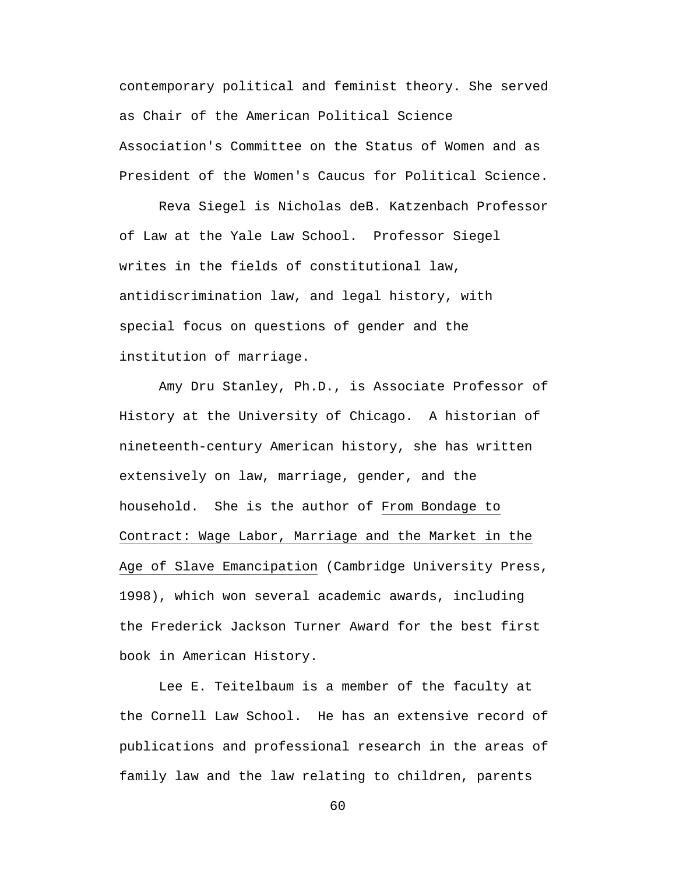contemporary political and feminist theory. She served as Chair of the American Political Science Association's Committee on the Status of Women and as President of the Women's Caucus for Political Science.

Reva Siegel is Nicholas deB. Katzenbach Professor of Law at the Yale Law School. Professor Siegel writes in the fields of constitutional law, antidiscrimination law, and legal history, with special focus on questions of gender and the institution of marriage.

Amy Dru Stanley, Ph.D., is Associate Professor of History at the University of Chicago. A historian of nineteenth-century American history, she has written extensively on law, marriage, gender, and the household. She is the author of From Bondage to Contract: Wage Labor, Marriage and the Market in the Age of Slave Emancipation (Cambridge University Press, 1998), which won several academic awards, including the Frederick Jackson Turner Award for the best first book in American History.

Lee E. Teitelbaum is a member of the faculty at the Cornell Law School. He has an extensive record of publications and professional research in the areas of family law and the law relating to children, parents